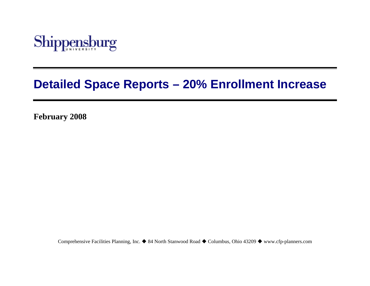

# **Detailed Space Reports – 20% Enrollment Increase**

**February 2008** 

Comprehensive Facilities Planning, Inc. ♦ 84 North Stanwood Road ♦ Columbus, Ohio 43209 ♦ www.cfp-planners.com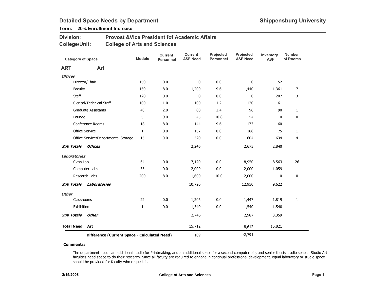### Term: 20% Enrollment Increase

| <b>Division:</b> | <b>Provost &amp; Vice President fof Academic Affairs</b> |
|------------------|----------------------------------------------------------|
| College/Unit:    | <b>College of Arts and Sciences</b>                      |

| <b>Category of Space</b>                     |                                     | <b>Module</b> | <b>Current</b><br>Personnel | <b>Current</b><br><b>ASF Need</b> | Projected<br><b>Personnel</b> | Projected<br><b>ASF Need</b> | Inventory<br><b>ASF</b> | <b>Number</b><br>of Rooms |
|----------------------------------------------|-------------------------------------|---------------|-----------------------------|-----------------------------------|-------------------------------|------------------------------|-------------------------|---------------------------|
| <b>ART</b>                                   | Art                                 |               |                             |                                   |                               |                              |                         |                           |
| <b>Offices</b>                               |                                     |               |                             |                                   |                               |                              |                         |                           |
|                                              | Director/Chair                      | 150           | 0.0                         | 0                                 | 0.0                           | 0                            | 152                     | $\mathbf{1}$              |
| Faculty                                      |                                     | 150           | 8.0                         | 1,200                             | 9.6                           | 1,440                        | 1,361                   | $\overline{7}$            |
| Staff                                        |                                     | 120           | 0.0                         | 0                                 | 0.0                           | 0                            | 207                     | 3                         |
|                                              | Clerical/Technical Staff            | 100           | 1.0                         | 100                               | 1.2                           | 120                          | 161                     | $\mathbf{1}$              |
|                                              | Graduate Assistants                 | 40            | 2.0                         | 80                                | 2.4                           | 96                           | 90                      | $\mathbf{1}$              |
| Lounge                                       |                                     | 5             | 9.0                         | 45                                | 10.8                          | 54                           | 0                       | 0                         |
|                                              | Conference Rooms                    | 18            | 8.0                         | 144                               | 9.6                           | 173                          | 160                     | $\mathbf{1}$              |
|                                              | Office Service                      | $\mathbf{1}$  | 0.0                         | 157                               | 0.0                           | 188                          | 75                      | $\mathbf{1}$              |
|                                              | Office Service/Departmental Storage | 15            | 0.0                         | 520                               | 0.0                           | 604                          | 634                     | 4                         |
| <b>Sub Totals</b>                            | <b>Offices</b>                      |               |                             | 2,246                             |                               | 2,675                        | 2,840                   |                           |
| <b>Laboratories</b>                          |                                     |               |                             |                                   |                               |                              |                         |                           |
| Class Lab                                    |                                     | 64            | 0.0                         | 7,120                             | 0.0                           | 8,950                        | 8,563                   | 26                        |
|                                              | Computer Labs                       | 35            | 0.0                         | 2,000                             | 0.0                           | 2,000                        | 1,059                   | $\mathbf{1}$              |
|                                              | Research Labs                       | 200           | 8.0                         | 1,600                             | 10.0                          | 2,000                        | $\mathbf 0$             | 0                         |
| <b>Sub Totals</b>                            | Laboratories                        |               |                             | 10,720                            |                               | 12,950                       | 9,622                   |                           |
| <b>Other</b>                                 |                                     |               |                             |                                   |                               |                              |                         |                           |
| Classrooms                                   |                                     | 22            | 0.0                         | 1,206                             | 0.0                           | 1,447                        | 1,819                   | $\mathbf{1}$              |
| Exhibition                                   |                                     | $\mathbf{1}$  | 0.0                         | 1,540                             | 0.0                           | 1,540                        | 1,540                   | $\mathbf{1}$              |
| <b>Sub Totals</b>                            | <b>Other</b>                        |               |                             | 2,746                             |                               | 2,987                        | 3,359                   |                           |
| <b>Total Need</b>                            | Art                                 |               |                             | 15,712                            |                               | 18,612                       | 15,821                  |                           |
| Difference (Current Space - Calculated Need) |                                     |               |                             | 109                               |                               | $-2,791$                     |                         |                           |

### Comments:

The department needs an additional studio for Printmaking, and an additional space for a second computer lab, and senior thesis studio space. Studio Art faculties need space to do their research. Since all faculty are required to engage in continual professional development, equal laboratory or studio space should be provided for faculty who request it.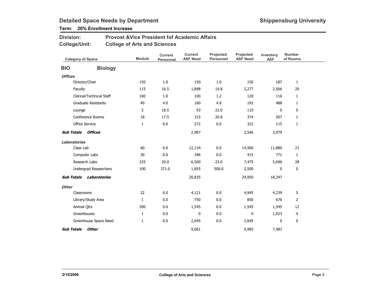### Term: 20% Enrollment Increase

#### Provost &Vice President fof Academic AffairsCollege of Arts and SciencesDivision:College/Unit:

| <b>Category of Space</b> |                              | <b>Module</b> | <b>Current</b><br>Personnel | <b>Current</b><br><b>ASF Need</b> | Projected<br><b>Personnel</b> | Projected<br><b>ASF Need</b> | Inventory<br><b>ASF</b> | <b>Number</b><br>of Rooms |
|--------------------------|------------------------------|---------------|-----------------------------|-----------------------------------|-------------------------------|------------------------------|-------------------------|---------------------------|
| <b>BIO</b>               | <b>Biology</b>               |               |                             |                                   |                               |                              |                         |                           |
| <b>Offices</b>           |                              |               |                             |                                   |                               |                              |                         |                           |
|                          | Director/Chair               | 150           | 1.0                         | 150                               | 1.0                           | 150                          | 187                     | $\mathbf{1}$              |
|                          | Faculty                      | 115           | 16.5                        | 1,898                             | 19.8                          | 2,277                        | 2,566                   | 20                        |
|                          | Clerical/Technical Staff     | 100           | 1.0                         | 100                               | 1.2                           | 120                          | 116                     | 1                         |
|                          | <b>Graduate Assistants</b>   | 40            | 4.0                         | 160                               | 4.8                           | 192                          | 488                     | $\mathbf{1}$              |
|                          | Lounge                       | 5             | 18.5                        | 93                                | 22.0                          | 110                          | $\mathbf{0}$            | 0                         |
|                          | Conference Rooms             | 18            | 17.5                        | 315                               | 20.8                          | 374                          | 507                     | $\mathbf{1}$              |
|                          | Office Service               | 1             | 0.0                         | 272                               | 0.0                           | 322                          | 115                     | 1                         |
| <b>Sub Totals</b>        | Offices                      |               |                             | 2,987                             |                               | 3,546                        | 3,979                   |                           |
| <b>Laboratories</b>      |                              |               |                             |                                   |                               |                              |                         |                           |
|                          | Class Lab                    | 60            | 0.0                         | 12,134                            | 0.0                           | 14,560                       | 11,880                  | 21                        |
|                          | Computer Labs                | 30            | 0.0                         | 346                               | 0.0                           | 415                          | 771                     | 1                         |
|                          | Research Labs                | 325           | 20.0                        | 6,500                             | 23.0                          | 7,475                        | 5,696                   | 28                        |
|                          | <b>Undergrad Researchers</b> | 100           | 371.0                       | 1,855                             | 500.0                         | 2,500                        | 0                       | 0                         |
| <b>Sub Totals</b>        | Laboratories                 |               |                             | 20,835                            |                               | 24,950                       | 18,347                  |                           |
| <b>Other</b>             |                              |               |                             |                                   |                               |                              |                         |                           |
|                          | Classrooms                   | 22            | 0.0                         | 4,121                             | 0.0                           | 4,945                        | 4,239                   | 5                         |
|                          | Library/Study Area           | $\mathbf{1}$  | 0.0                         | 750                               | 0.0                           | 850                          | 676                     | $\overline{2}$            |
|                          | Animal Qtrs                  | 300           | 0.0                         | 1,545                             | 0.0                           | 1,545                        | 1,545                   | 12                        |
|                          | Greenhouses                  | $\mathbf{1}$  | 0.0                         | $\mathbf{0}$                      | 0.0                           | $\mathbf{0}$                 | 1,023                   | 4                         |
|                          | Greenhouse Space Need        | 1             | 0.0                         | 2,645                             | 0.0                           | 2,645                        | 0                       | 0                         |
| <b>Sub Totals</b>        | <b>Other</b>                 |               |                             | 9,061                             |                               | 9,985                        | 7,483                   |                           |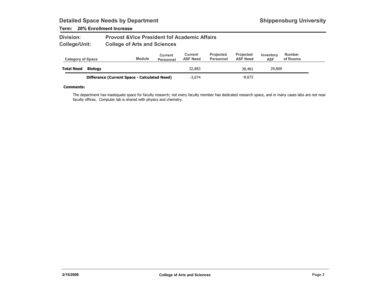### Term: 20% Enrollment Increase

| <b>Division:</b> | <b>Provost &amp; Vice President fof Academic Affairs</b> |
|------------------|----------------------------------------------------------|
| College/Unit:    | <b>College of Arts and Sciences</b>                      |

| <b>Category of Space</b> |                                              | <b>Module</b> | Current<br><b>Personnel</b> | Current<br><b>ASF Need</b> | <b>Projected</b><br><b>Personnel</b> | <b>Projected</b><br><b>ASF Need</b> | Inventory<br><b>ASF</b> | <b>Number</b><br>of Rooms |  |
|--------------------------|----------------------------------------------|---------------|-----------------------------|----------------------------|--------------------------------------|-------------------------------------|-------------------------|---------------------------|--|
| <b>Total Need</b>        | Biology                                      |               |                             | 32,883                     |                                      | 38,481                              | 29,809                  |                           |  |
|                          | Difference (Current Space - Calculated Need) |               |                             | $-3.074$                   |                                      | $-8,672$                            |                         |                           |  |

#### Comments:

The department has inadequate space for faculty research; not every faculty member has dedicated research space, and in many cases labs are not near faculty offices. Computer lab is shared with physics and chemstry.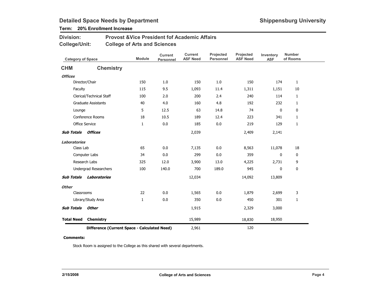### Term: 20% Enrollment Increase

| <b>Division:</b> | <b>Provost &amp; Vice President fof Academic Affairs</b> |
|------------------|----------------------------------------------------------|
| College/Unit:    | <b>College of Arts and Sciences</b>                      |

| <b>Category of Space</b>                     |                              | <b>Module</b> | <b>Current</b><br>Personnel | <b>Current</b><br><b>ASF Need</b> | Projected<br><b>Personnel</b> | <b>Projected</b><br><b>ASF Need</b> | Inventory<br><b>ASF</b> | <b>Number</b><br>of Rooms |
|----------------------------------------------|------------------------------|---------------|-----------------------------|-----------------------------------|-------------------------------|-------------------------------------|-------------------------|---------------------------|
| <b>CHM</b>                                   | <b>Chemistry</b>             |               |                             |                                   |                               |                                     |                         |                           |
| <b>Offices</b>                               |                              |               |                             |                                   |                               |                                     |                         |                           |
|                                              | Director/Chair               | 150           | 1.0                         | 150                               | 1.0                           | 150                                 | 174                     | $\mathbf{1}$              |
| Faculty                                      |                              | 115           | 9.5                         | 1,093                             | 11.4                          | 1,311                               | 1,151                   | 10                        |
|                                              | Clerical/Technical Staff     | 100           | 2.0                         | 200                               | 2.4                           | 240                                 | 114                     | $\mathbf{1}$              |
|                                              | <b>Graduate Assistants</b>   | 40            | 4.0                         | 160                               | 4.8                           | 192                                 | 232                     | $\mathbf{1}$              |
| Lounge                                       |                              | 5             | 12.5                        | 63                                | 14.8                          | 74                                  | $\mathbf 0$             | 0                         |
|                                              | Conference Rooms             | 18            | 10.5                        | 189                               | 12.4                          | 223                                 | 341                     | $\mathbf{1}$              |
|                                              | <b>Office Service</b>        | $\mathbf{1}$  | 0.0                         | 185                               | 0.0                           | 219                                 | 129                     | $\mathbf{1}$              |
| <b>Sub Totals</b>                            | Offices                      |               |                             | 2,039                             |                               | 2,409                               | 2,141                   |                           |
| Laboratories                                 |                              |               |                             |                                   |                               |                                     |                         |                           |
| Class Lab                                    |                              | 65            | 0.0                         | 7,135                             | 0.0                           | 8,563                               | 11,078                  | 18                        |
|                                              | Computer Labs                | 34            | 0.0                         | 299                               | 0.0                           | 359                                 | 0                       | 0                         |
|                                              | Research Labs                | 325           | 12.0                        | 3,900                             | 13.0                          | 4,225                               | 2,731                   | 9                         |
|                                              | <b>Undergrad Researchers</b> | 100           | 140.0                       | 700                               | 189.0                         | 945                                 | 0                       | 0                         |
| <b>Sub Totals</b>                            | Laboratories                 |               |                             | 12,034                            |                               | 14,092                              | 13,809                  |                           |
| <b>Other</b>                                 |                              |               |                             |                                   |                               |                                     |                         |                           |
| Classrooms                                   |                              | 22            | 0.0                         | 1,565                             | 0.0                           | 1,879                               | 2,699                   | 3                         |
|                                              | Library/Study Area           | $\mathbf{1}$  | 0.0                         | 350                               | 0.0                           | 450                                 | 301                     | $\mathbf{1}$              |
| <b>Sub Totals</b>                            | <b>Other</b>                 |               |                             | 1,915                             |                               | 2,329                               | 3,000                   |                           |
| <b>Total Need</b>                            | Chemistry                    |               |                             | 15,989                            |                               | 18,830                              | 18,950                  |                           |
| Difference (Current Space - Calculated Need) |                              |               |                             | 2,961                             |                               | 120                                 |                         |                           |

### Comments:

Stock Room is assigned to the College as this shared with several departments.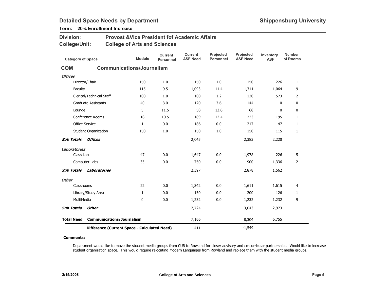### Term: 20% Enrollment Increase

| <b>Division:</b>         |                                              | <b>Provost &amp;Vice President fof Academic Affairs</b> |                                    |                                   |                               |                              |                         |                           |
|--------------------------|----------------------------------------------|---------------------------------------------------------|------------------------------------|-----------------------------------|-------------------------------|------------------------------|-------------------------|---------------------------|
| <b>College/Unit:</b>     |                                              | <b>College of Arts and Sciences</b>                     |                                    |                                   |                               |                              |                         |                           |
| <b>Category of Space</b> |                                              | <b>Module</b>                                           | <b>Current</b><br><b>Personnel</b> | <b>Current</b><br><b>ASF Need</b> | Projected<br><b>Personnel</b> | Projected<br><b>ASF Need</b> | Inventory<br><b>ASF</b> | <b>Number</b><br>of Rooms |
| <b>COM</b>               |                                              | <b>Communications/Journalism</b>                        |                                    |                                   |                               |                              |                         |                           |
| <b>Offices</b>           |                                              |                                                         |                                    |                                   |                               |                              |                         |                           |
| Director/Chair           |                                              | 150                                                     | 1.0                                | 150                               | 1.0                           | 150                          | 226                     | 1                         |
| Faculty                  |                                              | 115                                                     | 9.5                                | 1,093                             | 11.4                          | 1,311                        | 1,064                   | 9                         |
|                          | Clerical/Technical Staff                     | 100                                                     | 1.0                                | 100                               | 1.2                           | 120                          | 573                     | 2                         |
|                          | <b>Graduate Assistants</b>                   | 40                                                      | 3.0                                | 120                               | 3.6                           | 144                          | 0                       | 0                         |
| Lounge                   |                                              | 5                                                       | 11.5                               | 58                                | 13.6                          | 68                           | 0                       | 0                         |
|                          | Conference Rooms                             | 18                                                      | 10.5                               | 189                               | 12.4                          | 223                          | 195                     | $\mathbf{1}$              |
| <b>Office Service</b>    |                                              | 1                                                       | 0.0                                | 186                               | 0.0                           | 217                          | 47                      | 1                         |
|                          | Student Organization                         | 150                                                     | 1.0                                | 150                               | 1.0                           | 150                          | 115                     | 1                         |
| <b>Sub Totals</b>        | Offices                                      |                                                         |                                    | 2,045                             |                               | 2,383                        | 2,220                   |                           |
| Laboratories             |                                              |                                                         |                                    |                                   |                               |                              |                         |                           |
| Class Lab                |                                              | 47                                                      | 0.0                                | 1,647                             | 0.0                           | 1,978                        | 226                     | 5                         |
|                          | Computer Labs                                | 35                                                      | 0.0                                | 750                               | 0.0                           | 900                          | 1,336                   | 2                         |
| <b>Sub Totals</b>        | Laboratories                                 |                                                         |                                    | 2,397                             |                               | 2,878                        | 1,562                   |                           |
| <b>Other</b>             |                                              |                                                         |                                    |                                   |                               |                              |                         |                           |
| Classrooms               |                                              | 22                                                      | 0.0                                | 1,342                             | 0.0                           | 1,611                        | 1,615                   | 4                         |
|                          | Library/Study Area                           | 1                                                       | 0.0                                | 150                               | 0.0                           | 200                          | 126                     | 1                         |
| MultiMedia               |                                              | $\mathbf{0}$                                            | 0.0                                | 1,232                             | 0.0                           | 1,232                        | 1,232                   | 9                         |
| <b>Sub Totals</b>        | <b>Other</b>                                 |                                                         |                                    | 2,724                             |                               | 3,043                        | 2,973                   |                           |
| <b>Total Need</b>        | <b>Communications/Journalism</b>             |                                                         |                                    | 7,166                             |                               | 8,304                        | 6,755                   |                           |
|                          | Difference (Current Space - Calculated Need) |                                                         |                                    | $-411$                            |                               | $-1,549$                     |                         |                           |

#### Comments:

Department would like to move the student media groups from CUB to Rowland for closer advisory and co-curricular partnerships. Would like to increase student organization space. This would require relocating Modern Languages from Rowland and replace them with the student media groups.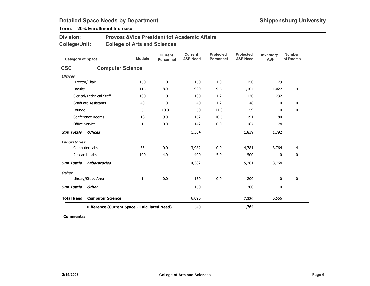### Term: 20% Enrollment Increase

| <b>Division:</b> | <b>Provost &amp; Vice President fof Academic Affairs</b> |
|------------------|----------------------------------------------------------|
| College/Unit:    | <b>College of Arts and Sciences</b>                      |

| <b>Category of Space</b> |                                              | <b>Module</b> | <b>Current</b><br><b>Personnel</b> | <b>Current</b><br><b>ASF Need</b> | Projected<br><b>Personnel</b> | Projected<br><b>ASF Need</b> | Inventory<br><b>ASF</b> | <b>Number</b><br>of Rooms |
|--------------------------|----------------------------------------------|---------------|------------------------------------|-----------------------------------|-------------------------------|------------------------------|-------------------------|---------------------------|
| <b>CSC</b>               | <b>Computer Science</b>                      |               |                                    |                                   |                               |                              |                         |                           |
| <b>Offices</b>           |                                              |               |                                    |                                   |                               |                              |                         |                           |
|                          | Director/Chair                               | 150           | 1.0                                | 150                               | 1.0                           | 150                          | 179                     | $\mathbf{1}$              |
| Faculty                  |                                              | 115           | 8.0                                | 920                               | 9.6                           | 1,104                        | 1,027                   | 9                         |
|                          | Clerical/Technical Staff                     | 100           | 1.0                                | 100                               | 1.2                           | 120                          | 232                     | $\mathbf{1}$              |
|                          | <b>Graduate Assistants</b>                   | 40            | 1.0                                | 40                                | 1.2                           | 48                           | 0                       | 0                         |
| Lounge                   |                                              | 5             | 10.0                               | 50                                | 11.8                          | 59                           | $\mathbf 0$             | $\mathbf 0$               |
|                          | Conference Rooms                             | 18            | 9.0                                | 162                               | 10.6                          | 191                          | 180                     | 1                         |
|                          | Office Service                               | $\mathbf{1}$  | 0.0                                | 142                               | 0.0                           | 167                          | 174                     | 1                         |
| <b>Sub Totals</b>        | <b>Offices</b>                               |               |                                    | 1,564                             |                               | 1,839                        | 1,792                   |                           |
| <b>Laboratories</b>      |                                              |               |                                    |                                   |                               |                              |                         |                           |
|                          | Computer Labs                                | 35            | 0.0                                | 3,982                             | 0.0                           | 4,781                        | 3,764                   | $\overline{4}$            |
|                          | Research Labs                                | 100           | 4.0                                | 400                               | 5.0                           | 500                          | 0                       | 0                         |
| <b>Sub Totals</b>        | <b>Laboratories</b>                          |               |                                    | 4,382                             |                               | 5,281                        | 3,764                   |                           |
| <b>Other</b>             |                                              |               |                                    |                                   |                               |                              |                         |                           |
|                          | Library/Study Area                           | $\mathbf{1}$  | 0.0                                | 150                               | 0.0                           | 200                          | 0                       | 0                         |
| <b>Sub Totals</b>        | <b>Other</b>                                 |               |                                    | 150                               |                               | 200                          | $\pmb{0}$               |                           |
| <b>Total Need</b>        | <b>Computer Science</b>                      |               |                                    | 6,096                             |                               | 7,320                        | 5,556                   |                           |
|                          | Difference (Current Space - Calculated Need) |               |                                    | $-540$                            |                               | $-1,764$                     |                         |                           |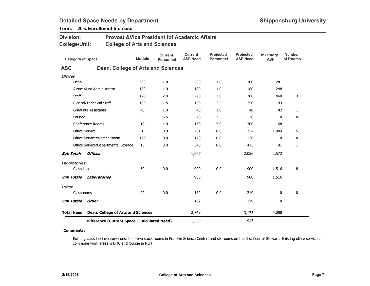| Division:<br>College/Unit: |              |                                              | <b>Provost &amp;Vice President fof Academic Affairs</b><br><b>College of Arts and Sciences</b> |                                    |                                   |                               |                              |                         |                           |  |  |
|----------------------------|--------------|----------------------------------------------|------------------------------------------------------------------------------------------------|------------------------------------|-----------------------------------|-------------------------------|------------------------------|-------------------------|---------------------------|--|--|
|                            |              | <b>Category of Space</b>                     | <b>Module</b>                                                                                  | <b>Current</b><br><b>Personnel</b> | <b>Current</b><br><b>ASF Need</b> | Projected<br><b>Personnel</b> | Projected<br><b>ASF Need</b> | Inventory<br><b>ASF</b> | <b>Number</b><br>of Rooms |  |  |
| <b>ASC</b>                 |              | Dean, College of Arts and Sciences           |                                                                                                |                                    |                                   |                               |                              |                         |                           |  |  |
| <b>Offices</b>             |              |                                              |                                                                                                |                                    |                                   |                               |                              |                         |                           |  |  |
|                            | Dean         |                                              | 200                                                                                            | 1.0                                | 200                               | 1.0                           | 200                          | 281                     | 1                         |  |  |
|                            |              | Assoc./Asst Administrator                    | 180                                                                                            | 1.0                                | 180                               | 1.0                           | 180                          | 248                     | $\mathbf{1}$              |  |  |
|                            | <b>Staff</b> |                                              | 120                                                                                            | 2.0                                | 240                               | 3.0                           | 360                          | 460                     | 3                         |  |  |
|                            |              | Clerical/Technical Staff                     | 100                                                                                            | 1.5                                | 150                               | 2.5                           | 250                          | 193                     | $\mathbf{1}$              |  |  |
|                            |              | <b>Graduate Assistants</b>                   | 40                                                                                             | 1.0                                | 40                                | 1.0                           | 40                           | 82                      | $\mathbf{1}$              |  |  |
|                            | Lounge       |                                              | 5                                                                                              | 5.5                                | 28                                | 7.5                           | 38                           | 0                       | 0                         |  |  |
|                            |              | Conference Rooms                             | 18                                                                                             | 4.0                                | 168                               | 5.0                           | 200                          | 168                     | $\mathbf{1}$              |  |  |
|                            |              | <b>Office Service</b>                        | $\mathbf{1}$                                                                                   | 0.0                                | 201                               | 0.0                           | 254                          | 1,049                   | 5                         |  |  |
|                            |              | Office Service/Waiting Room                  | 120                                                                                            | 0.0                                | 120                               | 0.0                           | 120                          | 0                       | 0                         |  |  |
|                            |              | Office Service/Departmental Storage          | 15                                                                                             | 0.0                                | 340                               | 0.0                           | 415                          | 91                      | $\mathbf{1}$              |  |  |
| <b>Sub Totals</b>          |              | Offices                                      |                                                                                                |                                    | 1,667                             |                               | 2,056                        | 2,572                   |                           |  |  |
| Laboratories               |              |                                              |                                                                                                |                                    |                                   |                               |                              |                         |                           |  |  |
|                            | Class Lab    |                                              | 60                                                                                             | 0.0                                | 900                               | 0.0                           | 900                          | 1,516                   | 8                         |  |  |
| <b>Sub Totals</b>          |              | <b>Laboratories</b>                          |                                                                                                |                                    | 900                               |                               | 900                          | 1,516                   |                           |  |  |
| <b>Other</b>               |              |                                              |                                                                                                |                                    |                                   |                               |                              |                         |                           |  |  |
|                            | Classrooms   |                                              | 22                                                                                             | 0.0                                | 182                               | 0.0                           | 219                          | 0                       | 0                         |  |  |
| <b>Sub Totals</b>          |              | <b>Other</b>                                 |                                                                                                |                                    | 182                               |                               | 219                          | 0                       |                           |  |  |
| <b>Total Need</b>          |              | Dean, College of Arts and Sciences           |                                                                                                |                                    | 2,749                             |                               | 3,175                        | 4,088                   |                           |  |  |
|                            |              | Difference (Current Space - Calculated Need) |                                                                                                |                                    | 1,339                             |                               | 913                          |                         |                           |  |  |

### Term: 20% Enrollment Increase

#### Comments:

Existing class lab inventory consists of two stock rooms in Franklin Science Center, and six rooms on the first floor of Stewart. Existing office service is commone work areas is DHC and lounge in RLH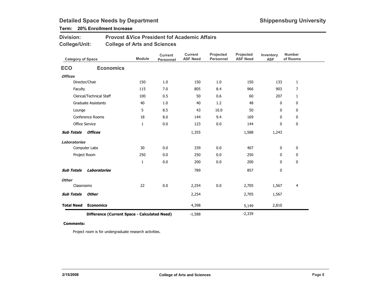### Term: 20% Enrollment Increase

| <b>Division:</b> | <b>Provost &amp; Vice President fof Academic Affairs</b> |
|------------------|----------------------------------------------------------|
| College/Unit:    | <b>College of Arts and Sciences</b>                      |

| <b>Category of Space</b> |                                              | <b>Module</b> | <b>Current</b><br>Personnel | <b>Current</b><br><b>ASF Need</b> | Projected<br>Personnel | Projected<br><b>ASF Need</b> | Inventory<br><b>ASF</b> | <b>Number</b><br>of Rooms |
|--------------------------|----------------------------------------------|---------------|-----------------------------|-----------------------------------|------------------------|------------------------------|-------------------------|---------------------------|
| <b>ECO</b>               | <b>Economics</b>                             |               |                             |                                   |                        |                              |                         |                           |
| <b>Offices</b>           |                                              |               |                             |                                   |                        |                              |                         |                           |
|                          | Director/Chair                               | 150           | 1.0                         | 150                               | 1.0                    | 150                          | 133                     | 1                         |
| Faculty                  |                                              | 115           | 7.0                         | 805                               | 8.4                    | 966                          | 903                     | $\overline{7}$            |
|                          | Clerical/Technical Staff                     | 100           | 0.5                         | 50                                | 0.6                    | 60                           | 207                     | 1                         |
|                          | <b>Graduate Assistants</b>                   | 40            | 1.0                         | 40                                | 1.2                    | 48                           | 0                       | 0                         |
| Lounge                   |                                              | 5             | 8.5                         | 43                                | 10.0                   | 50                           | 0                       | 0                         |
|                          | Conference Rooms                             | 18            | 8.0                         | 144                               | 9.4                    | 169                          | 0                       | 0                         |
|                          | Office Service                               | $\mathbf{1}$  | 0.0                         | 123                               | 0.0                    | 144                          | 0                       | 0                         |
| <b>Sub Totals</b>        | <b>Offices</b>                               |               |                             | 1,355                             |                        | 1,588                        | 1,243                   |                           |
| <b>Laboratories</b>      |                                              |               |                             |                                   |                        |                              |                         |                           |
|                          | Computer Labs                                | 30            | 0.0                         | 339                               | 0.0                    | 407                          | 0                       | 0                         |
|                          | Project Room                                 | 250           | 0.0                         | 250                               | 0.0                    | 250                          | 0                       | 0                         |
|                          |                                              | $\mathbf{1}$  | 0.0                         | 200                               | 0.0                    | 200                          | 0                       | 0                         |
| <b>Sub Totals</b>        | Laboratories                                 |               |                             | 789                               |                        | 857                          | 0                       |                           |
| <b>Other</b>             |                                              |               |                             |                                   |                        |                              |                         |                           |
| Classrooms               |                                              | 22            | 0.0                         | 2,254                             | 0.0                    | 2,705                        | 1,567                   | 4                         |
| <b>Sub Totals</b>        | <b>Other</b>                                 |               |                             | 2,254                             |                        | 2,705                        | 1,567                   |                           |
| <b>Total Need</b>        | <b>Economics</b>                             |               |                             | 4,398                             |                        | 5,149                        | 2,810                   |                           |
|                          | Difference (Current Space - Calculated Need) |               |                             | $-1,588$                          |                        | $-2,339$                     |                         |                           |

#### Comments:

Project room is for undergraduate research activities.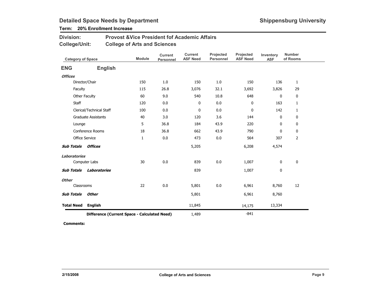### Term: 20% Enrollment Increase

| <b>Division:</b> | <b>Provost &amp; Vice President fof Academic Affairs</b> |
|------------------|----------------------------------------------------------|
| College/Unit:    | <b>College of Arts and Sciences</b>                      |

| <b>Category of Space</b> |                                              | <b>Module</b> | <b>Current</b><br><b>Personnel</b> | <b>Current</b><br><b>ASF Need</b> | Projected<br><b>Personnel</b> | Projected<br><b>ASF Need</b> | Inventory<br><b>ASF</b> | <b>Number</b><br>of Rooms |
|--------------------------|----------------------------------------------|---------------|------------------------------------|-----------------------------------|-------------------------------|------------------------------|-------------------------|---------------------------|
| <b>ENG</b>               | <b>English</b>                               |               |                                    |                                   |                               |                              |                         |                           |
| <b>Offices</b>           |                                              |               |                                    |                                   |                               |                              |                         |                           |
|                          | Director/Chair                               | 150           | 1.0                                | 150                               | 1.0                           | 150                          | 136                     | $\mathbf{1}$              |
| Faculty                  |                                              | 115           | 26.8                               | 3,076                             | 32.1                          | 3,692                        | 3,826                   | 29                        |
|                          | Other Faculty                                | 60            | 9.0                                | 540                               | 10.8                          | 648                          | $\mathbf 0$             | $\mathbf 0$               |
| <b>Staff</b>             |                                              | 120           | 0.0                                | 0                                 | 0.0                           | 0                            | 163                     | 1                         |
|                          | Clerical/Technical Staff                     | 100           | 0.0                                | 0                                 | 0.0                           | 0                            | 142                     | 1                         |
|                          | <b>Graduate Assistants</b>                   | 40            | 3.0                                | 120                               | 3.6                           | 144                          | 0                       | 0                         |
| Lounge                   |                                              | 5             | 36.8                               | 184                               | 43.9                          | 220                          | $\mathbf 0$             | $\mathbf 0$               |
|                          | Conference Rooms                             | 18            | 36.8                               | 662                               | 43.9                          | 790                          | $\mathbf 0$             | $\mathbf 0$               |
|                          | <b>Office Service</b>                        | 1             | 0.0                                | 473                               | 0.0                           | 564                          | 307                     | 2                         |
| <b>Sub Totals</b>        | Offices                                      |               |                                    | 5,205                             |                               | 6,208                        | 4,574                   |                           |
| <b>Laboratories</b>      |                                              |               |                                    |                                   |                               |                              |                         |                           |
|                          | Computer Labs                                | 30            | $0.0\,$                            | 839                               | 0.0                           | 1,007                        | 0                       | 0                         |
| <b>Sub Totals</b>        | Laboratories                                 |               |                                    | 839                               |                               | 1,007                        | 0                       |                           |
| <b>Other</b>             |                                              |               |                                    |                                   |                               |                              |                         |                           |
| Classrooms               |                                              | 22            | 0.0                                | 5,801                             | 0.0                           | 6,961                        | 8,760                   | 12                        |
| <b>Sub Totals</b>        | <b>Other</b>                                 |               |                                    | 5,801                             |                               | 6,961                        | 8,760                   |                           |
| <b>Total Need</b>        | <b>English</b>                               |               |                                    | 11,845                            |                               | 14,175                       | 13,334                  |                           |
|                          | Difference (Current Space - Calculated Need) |               |                                    | 1,489                             |                               | $-841$                       |                         |                           |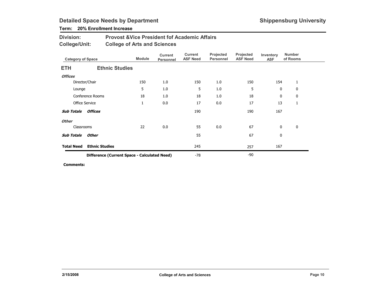### Term: 20% Enrollment Increase

| <b>Division:</b> | <b>Provost &amp; Vice President fof Academic Affairs</b> |
|------------------|----------------------------------------------------------|
| College/Unit:    | <b>College of Arts and Sciences</b>                      |

| <b>Category of Space</b> |                                              | <b>Module</b> | <b>Current</b><br>Personnel | Current<br><b>ASF Need</b> | Projected<br>Personnel | Projected<br><b>ASF Need</b> | Inventory<br><b>ASF</b> | <b>Number</b><br>of Rooms |  |
|--------------------------|----------------------------------------------|---------------|-----------------------------|----------------------------|------------------------|------------------------------|-------------------------|---------------------------|--|
| <b>ETH</b>               | <b>Ethnic Studies</b>                        |               |                             |                            |                        |                              |                         |                           |  |
| <b>Offices</b>           |                                              |               |                             |                            |                        |                              |                         |                           |  |
|                          | Director/Chair                               | 150           | 1.0                         | 150                        | 1.0                    | 150                          | 154                     | 1                         |  |
| Lounge                   |                                              | 5             | 1.0                         | 5                          | 1.0                    | 5                            | 0                       | $\mathbf 0$               |  |
|                          | Conference Rooms                             | 18            | 1.0                         | 18                         | 1.0                    | 18                           | 0                       | 0                         |  |
|                          | <b>Office Service</b>                        | $\mathbf{1}$  | 0.0                         | 17                         | 0.0                    | 17                           | 13                      | 1                         |  |
| <b>Sub Totals</b>        | <b>Offices</b>                               |               |                             | 190                        |                        | 190                          | 167                     |                           |  |
| <b>Other</b>             |                                              |               |                             |                            |                        |                              |                         |                           |  |
| Classrooms               |                                              | 22            | 0.0                         | 55                         | 0.0                    | 67                           | 0                       | 0                         |  |
| <b>Sub Totals</b>        | Other                                        |               |                             | 55                         |                        | 67                           | 0                       |                           |  |
| <b>Total Need</b>        | <b>Ethnic Studies</b>                        |               |                             | 245                        |                        | 257                          | 167                     |                           |  |
|                          | Difference (Current Space - Calculated Need) |               |                             | -78                        |                        | -90                          |                         |                           |  |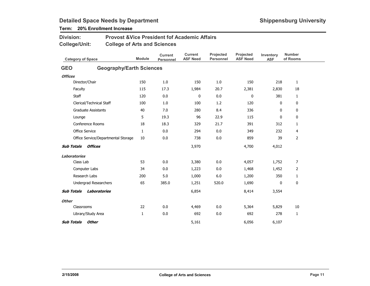### Term: 20% Enrollment Increase

| <b>Division:</b>             | <b>Provost &amp;Vice President fof Academic Affairs</b> |               |                                    |                            |                        |                              |                         |                           |
|------------------------------|---------------------------------------------------------|---------------|------------------------------------|----------------------------|------------------------|------------------------------|-------------------------|---------------------------|
| <b>College/Unit:</b>         | <b>College of Arts and Sciences</b>                     |               |                                    |                            |                        |                              |                         |                           |
| <b>Category of Space</b>     |                                                         | <b>Module</b> | <b>Current</b><br><b>Personnel</b> | Current<br><b>ASF Need</b> | Projected<br>Personnel | Projected<br><b>ASF Need</b> | Inventory<br><b>ASF</b> | <b>Number</b><br>of Rooms |
| <b>GEO</b>                   | <b>Geography/Earth Sciences</b>                         |               |                                    |                            |                        |                              |                         |                           |
| <b>Offices</b>               |                                                         |               |                                    |                            |                        |                              |                         |                           |
| Director/Chair               |                                                         | 150           | 1.0                                | 150                        | 1.0                    | 150                          | 218                     | 1                         |
| Faculty                      |                                                         | 115           | 17.3                               | 1,984                      | 20.7                   | 2,381                        | 2,830                   | 18                        |
| <b>Staff</b>                 |                                                         | 120           | 0.0                                | 0                          | 0.0                    | 0                            | 381                     | 1                         |
| Clerical/Technical Staff     |                                                         | 100           | 1.0                                | 100                        | 1.2                    | 120                          | 0                       | 0                         |
| <b>Graduate Assistants</b>   |                                                         | 40            | 7.0                                | 280                        | 8.4                    | 336                          | $\mathbf{0}$            | 0                         |
| Lounge                       |                                                         | 5             | 19.3                               | 96                         | 22.9                   | 115                          | $\mathbf{0}$            | 0                         |
| <b>Conference Rooms</b>      |                                                         | 18            | 18.3                               | 329                        | 21.7                   | 391                          | 312                     | $\mathbf{1}$              |
| <b>Office Service</b>        |                                                         | $\mathbf{1}$  | 0.0                                | 294                        | 0.0                    | 349                          | 232                     | 4                         |
|                              | Office Service/Departmental Storage                     | 10            | 0.0                                | 738                        | 0.0                    | 859                          | 39                      | 2                         |
| <b>Sub Totals</b><br>Offices |                                                         |               |                                    | 3,970                      |                        | 4,700                        | 4,012                   |                           |
| <b>Laboratories</b>          |                                                         |               |                                    |                            |                        |                              |                         |                           |
| Class Lab                    |                                                         | 53            | 0.0                                | 3,380                      | 0.0                    | 4,057                        | 1,752                   | $\overline{7}$            |
| Computer Labs                |                                                         | 34            | 0.0                                | 1,223                      | 0.0                    | 1,468                        | 1,452                   | 2                         |
| Research Labs                |                                                         | 200           | 5.0                                | 1,000                      | 6.0                    | 1,200                        | 350                     | $\mathbf{1}$              |
| <b>Undergrad Researchers</b> |                                                         | 65            | 385.0                              | 1,251                      | 520.0                  | 1,690                        | 0                       | 0                         |
| <b>Sub Totals</b>            | Laboratories                                            |               |                                    | 6,854                      |                        | 8,414                        | 3,554                   |                           |
| <b>Other</b>                 |                                                         |               |                                    |                            |                        |                              |                         |                           |
| Classrooms                   |                                                         | 22            | 0.0                                | 4,469                      | 0.0                    | 5,364                        | 5,829                   | 10                        |
| Library/Study Area           |                                                         | $\mathbf{1}$  | 0.0                                | 692                        | 0.0                    | 692                          | 278                     | 1                         |
| Other<br><b>Sub Totals</b>   |                                                         |               |                                    | 5,161                      |                        | 6,056                        | 6,107                   |                           |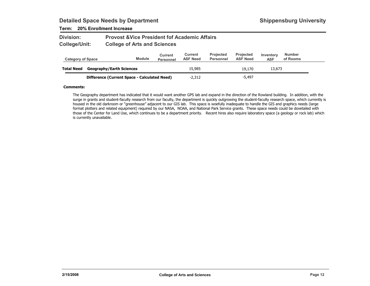### Term: 20% Enrollment Increase

| Division:     | <b>Provost &amp; Vice President fof Academic Affairs</b> |
|---------------|----------------------------------------------------------|
| College/Unit: | <b>College of Arts and Sciences</b>                      |

| <b>Category of Space</b> |                                              | <b>Module</b> | Current<br><b>Personnel</b> | Current<br><b>ASF Need</b> | <b>Projected</b><br>Personnel | <b>Projected</b><br><b>ASF Need</b> | Inventory<br><b>ASF</b> | <b>Number</b><br>of Rooms |  |
|--------------------------|----------------------------------------------|---------------|-----------------------------|----------------------------|-------------------------------|-------------------------------------|-------------------------|---------------------------|--|
| <b>Total Need</b>        | <b>Geography/Earth Sciences</b>              |               |                             | 15.985                     |                               | 19.170                              | 13,673                  |                           |  |
|                          | Difference (Current Space - Calculated Need) |               |                             | $-2,312$                   |                               | $-5.497$                            |                         |                           |  |

#### Comments:

The Geography department has indicated that it would want another GPS lab and expand in the direction of the Rowland building. In addition, with the surge in grants and student-faculty research from our faculty, the department is quickly outgrowing the student-faculty research space, which currently is housed in the old darkroom or "greenhouse" adjacent to our GIS lab. This space is woefully inadequate to handle the GIS and graphics needs (large format plotters and related equipment) required by our NASA, NOAA, and National Park Service grants. These space needs could be dovetailed with those of the Center for Land Use, which continues to be a department priority. Recent hires also require laboratory space (a geology or rock lab) which is currently unavailable.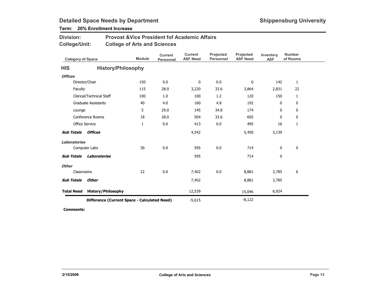### Term: 20% Enrollment Increase

| <b>Division:</b> | <b>Provost &amp; Vice President fof Academic Affairs</b> |
|------------------|----------------------------------------------------------|
| College/Unit:    | <b>College of Arts and Sciences</b>                      |

| <b>Category of Space</b> |                                              | <b>Module</b> | <b>Current</b><br>Personnel | <b>Current</b><br><b>ASF Need</b> | Projected<br><b>Personnel</b> | Projected<br><b>ASF Need</b> | Inventory<br><b>ASF</b> | <b>Number</b><br>of Rooms |
|--------------------------|----------------------------------------------|---------------|-----------------------------|-----------------------------------|-------------------------------|------------------------------|-------------------------|---------------------------|
| <b>HIS</b>               | <b>History/Philosophy</b>                    |               |                             |                                   |                               |                              |                         |                           |
| <b>Offices</b>           |                                              |               |                             |                                   |                               |                              |                         |                           |
|                          | Director/Chair                               | 150           | 0.0                         | 0                                 | 0.0                           | 0                            | 142                     | $\mathbf{1}$              |
| Faculty                  |                                              | 115           | 28.0                        | 3,220                             | 33.6                          | 3,864                        | 2,831                   | 22                        |
|                          | Clerical/Technical Staff                     | 100           | 1.0                         | 100                               | 1.2                           | 120                          | 150                     | $\mathbf{1}$              |
|                          | <b>Graduate Assistants</b>                   | 40            | 4.0                         | 160                               | 4.8                           | 192                          | 0                       | 0                         |
| Lounge                   |                                              | 5             | 29.0                        | 145                               | 34.8                          | 174                          | 0                       | $\mathbf 0$               |
|                          | <b>Conference Rooms</b>                      | 18            | 28.0                        | 504                               | 33.6                          | 605                          | 0                       | 0                         |
|                          | <b>Office Service</b>                        | $\mathbf{1}$  | 0.0                         | 413                               | 0.0                           | 495                          | 16                      | $\mathbf{1}$              |
| <b>Sub Totals</b>        | <b>Offices</b>                               |               |                             | 4,542                             |                               | 5,450                        | 3,139                   |                           |
| <b>Laboratories</b>      |                                              |               |                             |                                   |                               |                              |                         |                           |
|                          | Computer Labs                                | 30            | 0.0                         | 595                               | 0.0                           | 714                          | 0                       | $\mathbf 0$               |
| <b>Sub Totals</b>        | Laboratories                                 |               |                             | 595                               |                               | 714                          | 0                       |                           |
| <b>Other</b>             |                                              |               |                             |                                   |                               |                              |                         |                           |
| Classrooms               |                                              | 22            | 0.0                         | 7,402                             | 0.0                           | 8,881                        | 3,785                   | 6                         |
| <b>Sub Totals</b>        | <b>Other</b>                                 |               |                             | 7,402                             |                               | 8,881                        | 3,785                   |                           |
| <b>Total Need</b>        | <b>History/Philosophy</b>                    |               |                             | 12,539                            |                               | 15,046                       | 6,924                   |                           |
|                          | Difference (Current Space - Calculated Need) |               | $-5,615$                    |                                   | $-8,122$                      |                              |                         |                           |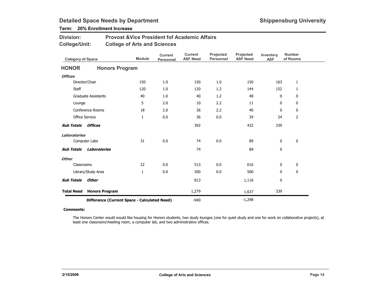### Term: 20% Enrollment Increase

| <b>Division:</b> | <b>Provost &amp; Vice President fof Academic Affairs</b> |
|------------------|----------------------------------------------------------|
| College/Unit:    | <b>College of Arts and Sciences</b>                      |

| <b>Category of Space</b>                     |                            | <b>Module</b> | <b>Current</b><br><b>Personnel</b> | <b>Current</b><br><b>ASF Need</b> | Projected<br><b>Personnel</b> | Projected<br><b>ASF Need</b> | Inventory<br><b>ASF</b> | <b>Number</b><br>of Rooms |
|----------------------------------------------|----------------------------|---------------|------------------------------------|-----------------------------------|-------------------------------|------------------------------|-------------------------|---------------------------|
| <b>HONOR</b>                                 | <b>Honors Program</b>      |               |                                    |                                   |                               |                              |                         |                           |
| <b>Offices</b>                               |                            |               |                                    |                                   |                               |                              |                         |                           |
|                                              | Director/Chair             | 150           | 1.0                                | 150                               | 1.0                           | 150                          | 163                     | 1                         |
| <b>Staff</b>                                 |                            | 120           | 1.0                                | 120                               | 1.2                           | 144                          | 152                     | 1                         |
|                                              | <b>Graduate Assistants</b> | 40            | 1.0                                | 40                                | 1.2                           | 48                           | 0                       | 0                         |
| Lounge                                       |                            | 5             | 2.0                                | 10                                | 2.2                           | 11                           | 0                       | 0                         |
|                                              | Conference Rooms           | 18            | 2.0                                | 36                                | 2.2                           | 40                           | $\mathbf{0}$            | 0                         |
|                                              | <b>Office Service</b>      | $\mathbf{1}$  | 0.0                                | 36                                | 0.0                           | 39                           | 24                      | $\overline{2}$            |
| <b>Sub Totals</b>                            | <b>Offices</b>             |               |                                    | 392                               |                               | 432                          | 339                     |                           |
| <b>Laboratories</b>                          |                            |               |                                    |                                   |                               |                              |                         |                           |
|                                              | Computer Labs              | 31            | 0.0                                | 74                                | 0.0                           | 89                           | 0                       | 0                         |
| <b>Sub Totals</b>                            | <b>Laboratories</b>        |               |                                    | 74                                |                               | 89                           | 0                       |                           |
| <b>Other</b>                                 |                            |               |                                    |                                   |                               |                              |                         |                           |
| Classrooms                                   |                            | 22            | 0.0                                | 513                               | 0.0                           | 616                          | 0                       | 0                         |
|                                              | Library/Study Area         | 1             | 0.0                                | 300                               | 0.0                           | 500                          | $\mathbf{0}$            | 0                         |
| <b>Sub Totals</b>                            | <b>Other</b>               |               |                                    | 813                               |                               | 1,116                        | 0                       |                           |
| <b>Total Need</b>                            | <b>Honors Program</b>      |               |                                    | 1,279                             |                               | 1,637                        | 339                     |                           |
| Difference (Current Space - Calculated Need) |                            |               |                                    | $-940$                            |                               | $-1,298$                     |                         |                           |

#### Comments:

The Honors Center would would like housing for Honors students, two study lounges (one for quiet study and one for work on collaborative projects), at least one classroom/meeting room, a computer lab, and two administrative offices.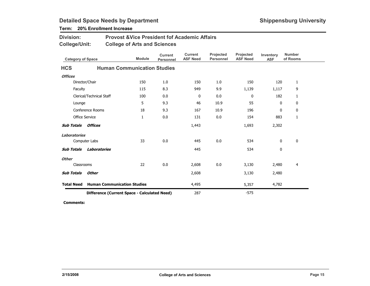| Division:<br><b>College/Unit:</b>            |                          | <b>Provost &amp; Vice President fof Academic Affairs</b><br><b>College of Arts and Sciences</b> |               |                             |                                   |                               |                              |                         |                           |
|----------------------------------------------|--------------------------|-------------------------------------------------------------------------------------------------|---------------|-----------------------------|-----------------------------------|-------------------------------|------------------------------|-------------------------|---------------------------|
| <b>Category of Space</b>                     |                          |                                                                                                 | <b>Module</b> | <b>Current</b><br>Personnel | <b>Current</b><br><b>ASF Need</b> | Projected<br><b>Personnel</b> | Projected<br><b>ASF Need</b> | Inventory<br><b>ASF</b> | <b>Number</b><br>of Rooms |
| <b>HCS</b>                                   |                          | <b>Human Communication Studies</b>                                                              |               |                             |                                   |                               |                              |                         |                           |
| <b>Offices</b>                               |                          |                                                                                                 |               |                             |                                   |                               |                              |                         |                           |
|                                              | Director/Chair           |                                                                                                 | 150           | 1.0                         | 150                               | 1.0                           | 150                          | 120                     | 1                         |
| Faculty                                      |                          |                                                                                                 | 115           | 8.3                         | 949                               | 9.9                           | 1,139                        | 1,117                   | 9                         |
|                                              | Clerical/Technical Staff |                                                                                                 | 100           | 0.0                         | 0                                 | 0.0                           | 0                            | 182                     | 1                         |
| Lounge                                       |                          |                                                                                                 | 5             | 9.3                         | 46                                | 10.9                          | 55                           | 0                       | 0                         |
|                                              | Conference Rooms         |                                                                                                 | 18            | 9.3                         | 167                               | 10.9                          | 196                          | 0                       | 0                         |
| <b>Office Service</b>                        |                          |                                                                                                 | $\mathbf{1}$  | 0.0                         | 131                               | 0.0                           | 154                          | 883                     | $\mathbf{1}$              |
| <b>Sub Totals</b>                            | <i><b>Offices</b></i>    |                                                                                                 |               |                             | 1,443                             |                               | 1,693                        | 2,302                   |                           |
| <b>Laboratories</b>                          |                          |                                                                                                 |               |                             |                                   |                               |                              |                         |                           |
|                                              | Computer Labs            |                                                                                                 | 33            | 0.0                         | 445                               | 0.0                           | 534                          | $\mathbf 0$             | $\mathbf 0$               |
| <b>Sub Totals</b>                            | Laboratories             |                                                                                                 |               |                             | 445                               |                               | 534                          | 0                       |                           |
| <b>Other</b>                                 |                          |                                                                                                 |               |                             |                                   |                               |                              |                         |                           |
| Classrooms                                   |                          |                                                                                                 | 22            | 0.0                         | 2,608                             | 0.0                           | 3,130                        | 2,480                   | 4                         |
| <b>Sub Totals</b>                            | Other                    |                                                                                                 |               |                             | 2,608                             |                               | 3,130                        | 2,480                   |                           |
| <b>Total Need</b>                            |                          | <b>Human Communication Studies</b>                                                              |               |                             | 4,495                             |                               | 5,357                        | 4,782                   |                           |
| Difference (Current Space - Calculated Need) |                          |                                                                                                 |               |                             | 287                               |                               | $-575$                       |                         |                           |

### Term: 20% Enrollment Increase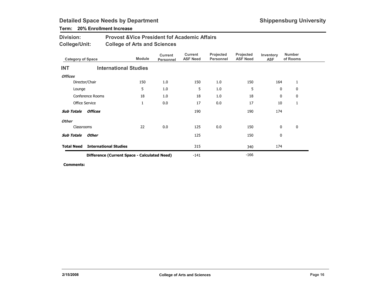### Term: 20% Enrollment Increase

| <b>Division:</b> | <b>Provost &amp; Vice President fof Academic Affairs</b> |
|------------------|----------------------------------------------------------|
| College/Unit:    | <b>College of Arts and Sciences</b>                      |

| <b>Category of Space</b> |                                              | <b>Module</b> | <b>Current</b><br>Personnel | Current<br><b>ASF Need</b> | Projected<br>Personnel | Projected<br><b>ASF Need</b> | Inventory<br><b>ASF</b> | <b>Number</b><br>of Rooms |  |
|--------------------------|----------------------------------------------|---------------|-----------------------------|----------------------------|------------------------|------------------------------|-------------------------|---------------------------|--|
| <b>INT</b>               | <b>International Studies</b>                 |               |                             |                            |                        |                              |                         |                           |  |
| <b>Offices</b>           |                                              |               |                             |                            |                        |                              |                         |                           |  |
|                          | Director/Chair                               | 150           | 1.0                         | 150                        | 1.0                    | 150                          | 164                     | 1                         |  |
| Lounge                   |                                              | 5             | 1.0                         | 5                          | 1.0                    | 5                            | $\mathbf{0}$            | 0                         |  |
|                          | Conference Rooms                             | 18            | 1.0                         | 18                         | 1.0                    | 18                           | 0                       | 0                         |  |
|                          | <b>Office Service</b>                        | 1             | 0.0                         | 17                         | 0.0                    | 17                           | 10                      | 1                         |  |
| <b>Sub Totals</b>        | <b>Offices</b>                               |               |                             | 190                        |                        | 190                          | 174                     |                           |  |
| <b>Other</b>             |                                              |               |                             |                            |                        |                              |                         |                           |  |
| Classrooms               |                                              | 22            | 0.0                         | 125                        | 0.0                    | 150                          | $\mathbf{0}$            | $\mathbf 0$               |  |
| <b>Sub Totals</b>        | Other                                        |               |                             | 125                        |                        | 150                          | 0                       |                           |  |
| <b>Total Need</b>        | <b>International Studies</b>                 |               |                             | 315                        |                        | 340                          | 174                     |                           |  |
|                          | Difference (Current Space - Calculated Need) |               |                             | $-141$                     |                        | $-166$                       |                         |                           |  |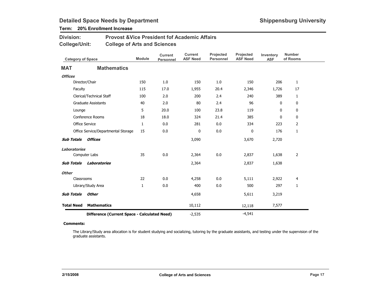### Term: 20% Enrollment Increase

| <b>Division:</b> | <b>Provost &amp; Vice President fof Academic Affairs</b> |
|------------------|----------------------------------------------------------|
| College/Unit:    | <b>College of Arts and Sciences</b>                      |

| <b>Category of Space</b> |                                              | <b>Module</b> | <b>Current</b><br>Personnel | <b>Current</b><br><b>ASF Need</b> | Projected<br><b>Personnel</b> | Projected<br><b>ASF Need</b> | Inventory<br><b>ASF</b> | <b>Number</b><br>of Rooms |
|--------------------------|----------------------------------------------|---------------|-----------------------------|-----------------------------------|-------------------------------|------------------------------|-------------------------|---------------------------|
| <b>MAT</b>               | <b>Mathematics</b>                           |               |                             |                                   |                               |                              |                         |                           |
| <b>Offices</b>           |                                              |               |                             |                                   |                               |                              |                         |                           |
|                          | Director/Chair                               | 150           | 1.0                         | 150                               | 1.0                           | 150                          | 206                     | $\mathbf{1}$              |
| Faculty                  |                                              | 115           | 17.0                        | 1,955                             | 20.4                          | 2,346                        | 1,726                   | 17                        |
|                          | Clerical/Technical Staff                     | 100           | 2.0                         | 200                               | 2.4                           | 240                          | 389                     | $\mathbf{1}$              |
|                          | <b>Graduate Assistants</b>                   | 40            | 2.0                         | 80                                | 2.4                           | 96                           | 0                       | 0                         |
| Lounge                   |                                              | 5             | 20.0                        | 100                               | 23.8                          | 119                          | $\mathbf{0}$            | 0                         |
|                          | Conference Rooms                             | 18            | 18.0                        | 324                               | 21.4                          | 385                          | 0                       | 0                         |
|                          | <b>Office Service</b>                        | 1             | 0.0                         | 281                               | 0.0                           | 334                          | 223                     | $\overline{2}$            |
|                          | Office Service/Departmental Storage          | 15            | 0.0                         | 0                                 | 0.0                           | 0                            | 176                     | 1                         |
| <b>Sub Totals</b>        | <b>Offices</b>                               |               |                             | 3,090                             |                               | 3,670                        | 2,720                   |                           |
| <b>Laboratories</b>      |                                              |               |                             |                                   |                               |                              |                         |                           |
|                          | Computer Labs                                | 35            | 0.0                         | 2,364                             | 0.0                           | 2,837                        | 1,638                   | $\overline{2}$            |
| <b>Sub Totals</b>        | Laboratories                                 |               |                             | 2,364                             |                               | 2,837                        | 1,638                   |                           |
| <b>Other</b>             |                                              |               |                             |                                   |                               |                              |                         |                           |
| Classrooms               |                                              | 22            | 0.0                         | 4,258                             | 0.0                           | 5,111                        | 2,922                   | 4                         |
|                          | Library/Study Area                           | 1             | 0.0                         | 400                               | 0.0                           | 500                          | 297                     | 1                         |
| <b>Sub Totals</b>        | <b>Other</b>                                 |               |                             | 4,658                             |                               | 5,611                        | 3,219                   |                           |
| <b>Total Need</b>        | <b>Mathematics</b>                           |               |                             | 10,112                            |                               | 12,118                       | 7,577                   |                           |
|                          | Difference (Current Space - Calculated Need) |               |                             | $-2,535$                          |                               | $-4,541$                     |                         |                           |

#### Comments:

The Library/Study area allocation is for student studying and socializing, tutoring by the graduate assistants, and testing under the supervision of the graduate assistants.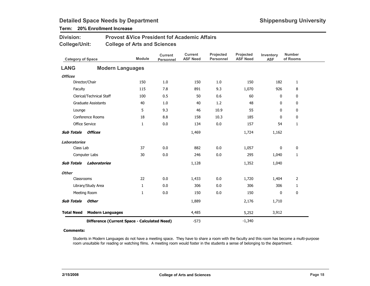### Term: 20% Enrollment Increase

| <b>Division:</b> | <b>Provost &amp; Vice President fof Academic Affairs</b> |
|------------------|----------------------------------------------------------|
| College/Unit:    | <b>College of Arts and Sciences</b>                      |

| <b>Category of Space</b> |                                              | <b>Module</b> | <b>Current</b><br><b>Personnel</b> | <b>Current</b><br><b>ASF Need</b> | Projected<br><b>Personnel</b> | Projected<br><b>ASF Need</b> | Inventory<br><b>ASF</b> | <b>Number</b><br>of Rooms |
|--------------------------|----------------------------------------------|---------------|------------------------------------|-----------------------------------|-------------------------------|------------------------------|-------------------------|---------------------------|
| <b>LANG</b>              | <b>Modern Languages</b>                      |               |                                    |                                   |                               |                              |                         |                           |
| <b>Offices</b>           |                                              |               |                                    |                                   |                               |                              |                         |                           |
|                          | Director/Chair                               | 150           | 1.0                                | 150                               | 1.0                           | 150                          | 182                     | 1                         |
| Faculty                  |                                              | 115           | 7.8                                | 891                               | 9.3                           | 1,070                        | 926                     | 8                         |
|                          | Clerical/Technical Staff                     | 100           | 0.5                                | 50                                | 0.6                           | 60                           | 0                       | 0                         |
|                          | <b>Graduate Assistants</b>                   | 40            | 1.0                                | 40                                | 1.2                           | 48                           | 0                       | 0                         |
| Lounge                   |                                              | 5             | 9.3                                | 46                                | 10.9                          | 55                           | 0                       | 0                         |
|                          | Conference Rooms                             | 18            | 8.8                                | 158                               | 10.3                          | 185                          | $\mathbf{0}$            | 0                         |
|                          | <b>Office Service</b>                        | $\mathbf{1}$  | 0.0                                | 134                               | 0.0                           | 157                          | 54                      | $\mathbf{1}$              |
| <b>Sub Totals</b>        | Offices                                      |               |                                    | 1,469                             |                               | 1,724                        | 1,162                   |                           |
| <b>Laboratories</b>      |                                              |               |                                    |                                   |                               |                              |                         |                           |
| Class Lab                |                                              | 37            | 0.0                                | 882                               | 0.0                           | 1,057                        | 0                       | $\pmb{0}$                 |
|                          | Computer Labs                                | 30            | 0.0                                | 246                               | 0.0                           | 295                          | 1,040                   | $\mathbf{1}$              |
| <b>Sub Totals</b>        | <b>Laboratories</b>                          |               |                                    | 1,128                             |                               | 1,352                        | 1,040                   |                           |
| <b>Other</b>             |                                              |               |                                    |                                   |                               |                              |                         |                           |
| Classrooms               |                                              | 22            | 0.0                                | 1,433                             | 0.0                           | 1,720                        | 1,404                   | 2                         |
|                          | Library/Study Area                           | 1             | 0.0                                | 306                               | 0.0                           | 306                          | 306                     | 1                         |
|                          | Meeting Room                                 | $\mathbf{1}$  | 0.0                                | 150                               | 0.0                           | 150                          | 0                       | $\mathbf 0$               |
| <b>Sub Totals</b>        | Other                                        |               |                                    | 1,889                             |                               | 2,176                        | 1,710                   |                           |
| <b>Total Need</b>        | <b>Modern Languages</b>                      |               |                                    | 4,485                             |                               | 5,252                        | 3,912                   |                           |
|                          | Difference (Current Space - Calculated Need) |               |                                    | $-573$                            |                               | $-1,340$                     |                         |                           |

#### Comments:

Students in Modern Languages do not have a meeting space. They have to share a room with the faculty and this room has become a multi-purpose room unsuitable for reading or watching films. A meeting room would foster in the students a sense of belonging to the department.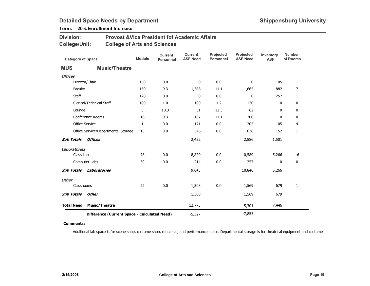### Term: 20% Enrollment Increase

| <b>Division:</b> | <b>Provost &amp; Vice President fof Academic Affairs</b> |
|------------------|----------------------------------------------------------|
| College/Unit:    | <b>College of Arts and Sciences</b>                      |

| <b>Category of Space</b> |                                              | <b>Module</b> | <b>Current</b><br><b>Personnel</b> | <b>Current</b><br><b>ASF Need</b> | Projected<br><b>Personnel</b> | Projected<br><b>ASF Need</b> | Inventory<br><b>ASF</b> | <b>Number</b><br>of Rooms |
|--------------------------|----------------------------------------------|---------------|------------------------------------|-----------------------------------|-------------------------------|------------------------------|-------------------------|---------------------------|
| <b>MUS</b>               | <b>Music/Theatre</b>                         |               |                                    |                                   |                               |                              |                         |                           |
| <b>Offices</b>           |                                              |               |                                    |                                   |                               |                              |                         |                           |
|                          | Director/Chair                               | 150           | 0.0                                | 0                                 | 0.0                           | 0                            | 105                     | $\mathbf{1}$              |
| Faculty                  |                                              | 150           | 9.3                                | 1,388                             | 11.1                          | 1,665                        | 882                     | $\overline{7}$            |
| Staff                    |                                              | 120           | 0.0                                | 0                                 | 0.0                           | 0                            | 257                     | $\mathbf{1}$              |
|                          | Clerical/Technical Staff                     | 100           | 1.0                                | 100                               | 1.2                           | 120                          | 0                       | 0                         |
| Lounge                   |                                              | 5             | 10.3                               | 51                                | 12.3                          | 62                           | 0                       | 0                         |
|                          | Conference Rooms                             | 18            | 9.3                                | 167                               | 11.1                          | 200                          | 0                       | 0                         |
|                          | Office Service                               | $\mathbf{1}$  | 0.0                                | 171                               | 0.0                           | 205                          | 105                     | 4                         |
|                          | Office Service/Departmental Storage          | 15            | 0.0                                | 546                               | 0.0                           | 636                          | 152                     | 1                         |
| <b>Sub Totals</b>        | <b>Offices</b>                               |               |                                    | 2,422                             |                               | 2,886                        | 1,501                   |                           |
| <b>Laboratories</b>      |                                              |               |                                    |                                   |                               |                              |                         |                           |
| Class Lab                |                                              | 78            | 0.0                                | 8,829                             | 0.0                           | 10,589                       | 5,266                   | 16                        |
|                          | Computer Labs                                | 30            | 0.0                                | 214                               | 0.0                           | 257                          | 0                       | 0                         |
| <b>Sub Totals</b>        | <b>Laboratories</b>                          |               |                                    | 9,043                             |                               | 10,846                       | 5,266                   |                           |
| <b>Other</b>             |                                              |               |                                    |                                   |                               |                              |                         |                           |
| Classrooms               |                                              | 22            | 0.0                                | 1,308                             | 0.0                           | 1,569                        | 679                     | 1                         |
| <b>Sub Totals</b>        | <b>Other</b>                                 |               |                                    | 1,308                             |                               | 1,569                        | 679                     |                           |
| <b>Total Need</b>        | <b>Music/Theatre</b>                         |               |                                    | 12,773                            |                               | 15,301                       | 7,446                   |                           |
|                          | Difference (Current Space - Calculated Need) |               |                                    | $-5,327$                          |                               | $-7,855$                     |                         |                           |

#### Comments:

Additional lab space is for scene shop, costume shop, rehearsal, and performance space. Departmental storage is for theatrical equipment and costumes.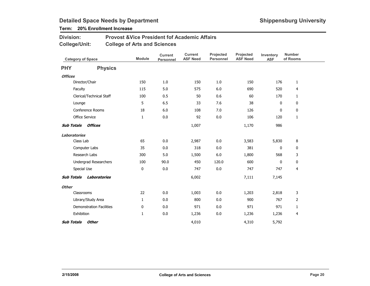### Term: 20% Enrollment Increase

| <b>Division:</b> | <b>Provost &amp; Vice President fof Academic Affairs</b> |
|------------------|----------------------------------------------------------|
| College/Unit:    | <b>College of Arts and Sciences</b>                      |

| <b>Category of Space</b> |                                 | <b>Module</b> | <b>Current</b><br>Personnel | <b>Current</b><br><b>ASF Need</b> | Projected<br><b>Personnel</b> | Projected<br><b>ASF Need</b> | Inventory<br><b>ASF</b> | <b>Number</b><br>of Rooms |  |
|--------------------------|---------------------------------|---------------|-----------------------------|-----------------------------------|-------------------------------|------------------------------|-------------------------|---------------------------|--|
| <b>PHY</b>               | <b>Physics</b>                  |               |                             |                                   |                               |                              |                         |                           |  |
| <b>Offices</b>           |                                 |               |                             |                                   |                               |                              |                         |                           |  |
|                          | Director/Chair                  | 150           | 1.0                         | 150                               | 1.0                           | 150                          | 176                     | $\mathbf{1}$              |  |
|                          | Faculty                         | 115           | 5.0                         | 575                               | 6.0                           | 690                          | 520                     | $\overline{4}$            |  |
|                          | Clerical/Technical Staff        | 100           | 0.5                         | 50                                | 0.6                           | 60                           | 170                     | $\mathbf{1}$              |  |
|                          | Lounge                          | 5             | 6.5                         | 33                                | 7.6                           | 38                           | 0                       | $\mathbf 0$               |  |
|                          | Conference Rooms                | 18            | 6.0                         | 108                               | 7.0                           | 126                          | 0                       | $\mathbf 0$               |  |
|                          | Office Service                  | $\mathbf{1}$  | 0.0                         | 92                                | 0.0                           | 106                          | 120                     | $\mathbf{1}$              |  |
|                          | <b>Sub Totals Offices</b>       |               |                             | 1,007                             |                               | 1,170                        | 986                     |                           |  |
| <b>Laboratories</b>      |                                 |               |                             |                                   |                               |                              |                         |                           |  |
|                          | Class Lab                       | 65            | 0.0                         | 2,987                             | 0.0                           | 3,583                        | 5,830                   | 8                         |  |
|                          | Computer Labs                   | 35            | 0.0                         | 318                               | 0.0                           | 381                          | 0                       | 0                         |  |
|                          | Research Labs                   | 300           | 5.0                         | 1,500                             | $6.0\,$                       | 1,800                        | 568                     | 3                         |  |
|                          | <b>Undergrad Researchers</b>    | 100           | 90.0                        | 450                               | 120.0                         | 600                          | 0                       | $\mathbf 0$               |  |
|                          | Special Use                     | 0             | 0.0                         | 747                               | 0.0                           | 747                          | 747                     | $\overline{4}$            |  |
| <b>Sub Totals</b>        | Laboratories                    |               |                             | 6,002                             |                               | 7,111                        | 7,145                   |                           |  |
| <b>Other</b>             |                                 |               |                             |                                   |                               |                              |                         |                           |  |
|                          | Classrooms                      | 22            | 0.0                         | 1,003                             | 0.0                           | 1,203                        | 2,818                   | 3                         |  |
|                          | Library/Study Area              | $\mathbf{1}$  | 0.0                         | 800                               | 0.0                           | 900                          | 767                     | $\overline{2}$            |  |
|                          | <b>Demonstration Facilities</b> | 0             | 0.0                         | 971                               | 0.0                           | 971                          | 971                     | $\mathbf{1}$              |  |
|                          | Exhibition                      | 1             | 0.0                         | 1,236                             | 0.0                           | 1,236                        | 1,236                   | 4                         |  |
| <b>Sub Totals</b>        | Other                           |               |                             | 4,010                             |                               | 4,310                        | 5,792                   |                           |  |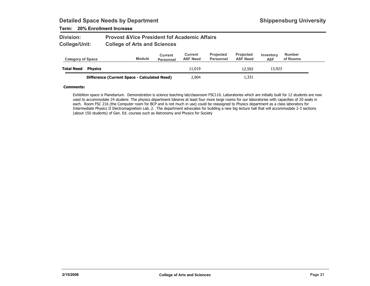### Term: 20% Enrollment Increase

| <b>Division:</b> | <b>Provost &amp; Vice President fof Academic Affairs</b> |
|------------------|----------------------------------------------------------|
| College/Unit:    | <b>College of Arts and Sciences</b>                      |

| <b>Category of Space</b> |                                              | <b>Module</b> | Current<br><b>Personnel</b> | Current<br><b>ASF Need</b> | <b>Projected</b><br>Personnel | <b>Projected</b><br><b>ASF Need</b> | Inventory<br><b>ASF</b> | Number<br>of Rooms |
|--------------------------|----------------------------------------------|---------------|-----------------------------|----------------------------|-------------------------------|-------------------------------------|-------------------------|--------------------|
| <b>Total Need</b>        | <b>Physics</b>                               |               |                             | 11,019                     |                               | 12,592                              | 13,923                  |                    |
|                          | Difference (Current Space - Calculated Need) |               |                             | 2,904                      |                               | 1,331                               |                         |                    |

#### Comments:

Exhibition space is Planetarium. Demonstration is science teaching lab/classroom FSC110. Laboratories which are initially built for 12 students are now used to accommodate 24 studens The physics department tdesires at least four more large rooms for our laboratories with capacities of 20 seats in each. Room FSC 216 (the Computer room for BCP and is not much in use) could be reassigned to Physics department as a class laboratory for Intermediate Physics II Electromagnetism Lab. 2. The department advocates for building a new big lecture hall that will accommodate 2-3 sections (about 150 students) of Gen. Ed. courses such as Astronomy and Physics for Society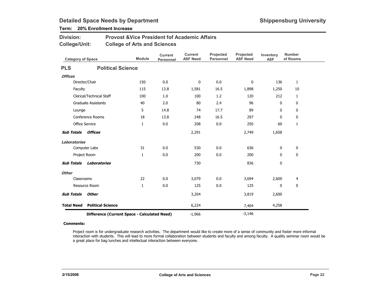### Term: 20% Enrollment Increase

| <b>Division:</b> | <b>Provost &amp; Vice President fof Academic Affairs</b> |
|------------------|----------------------------------------------------------|
| College/Unit:    | <b>College of Arts and Sciences</b>                      |

| <b>Category of Space</b> |                                              | <b>Module</b> | <b>Current</b><br>Personnel | <b>Current</b><br><b>ASF Need</b> | Projected<br><b>Personnel</b> | Projected<br><b>ASF Need</b> | Inventory<br><b>ASF</b> | <b>Number</b><br>of Rooms |
|--------------------------|----------------------------------------------|---------------|-----------------------------|-----------------------------------|-------------------------------|------------------------------|-------------------------|---------------------------|
| <b>PLS</b>               | <b>Political Science</b>                     |               |                             |                                   |                               |                              |                         |                           |
| <b>Offices</b>           |                                              |               |                             |                                   |                               |                              |                         |                           |
|                          | Director/Chair                               | 150           | 0.0                         | 0                                 | 0.0                           | 0                            | 136                     | $\mathbf{1}$              |
| Faculty                  |                                              | 115           | 13.8                        | 1,581                             | 16.5                          | 1,898                        | 1,250                   | 10                        |
|                          | Clerical/Technical Staff                     | 100           | 1.0                         | 100                               | 1.2                           | 120                          | 212                     | $\mathbf{1}$              |
|                          | <b>Graduate Assistants</b>                   | 40            | 2.0                         | 80                                | 2.4                           | 96                           | 0                       | 0                         |
| Lounge                   |                                              | 5             | 14.8                        | 74                                | 17.7                          | 89                           | 0                       | 0                         |
|                          | Conference Rooms                             | 18            | 13.8                        | 248                               | 16.5                          | 297                          | 0                       | 0                         |
|                          | <b>Office Service</b>                        | 1             | 0.0                         | 208                               | 0.0                           | 250                          | 60                      | $\mathbf{1}$              |
| <b>Sub Totals</b>        | <b>Offices</b>                               |               |                             | 2,291                             |                               | 2,749                        | 1,658                   |                           |
| <b>Laboratories</b>      |                                              |               |                             |                                   |                               |                              |                         |                           |
|                          | Computer Labs                                | 31            | 0.0                         | 530                               | 0.0                           | 636                          | 0                       | 0                         |
|                          | Project Room                                 | 1             | 0.0                         | 200                               | 0.0                           | 200                          | $\mathbf{0}$            | 0                         |
| <b>Sub Totals</b>        | Laboratories                                 |               |                             | 730                               |                               | 836                          | 0                       |                           |
| <b>Other</b>             |                                              |               |                             |                                   |                               |                              |                         |                           |
| Classrooms               |                                              | 22            | 0.0                         | 3,079                             | 0.0                           | 3,694                        | 2,600                   | 4                         |
|                          | Resource Room                                | 1             | 0.0                         | 125                               | 0.0                           | 125                          | 0                       | $\mathbf 0$               |
| <b>Sub Totals</b>        | <b>Other</b>                                 |               |                             | 3,204                             |                               | 3,819                        | 2,600                   |                           |
| <b>Total Need</b>        | <b>Political Science</b>                     |               |                             | 6,224                             |                               | 7,404                        | 4,258                   |                           |
|                          | Difference (Current Space - Calculated Need) |               |                             | $-1,966$                          |                               | $-3,146$                     |                         |                           |

#### Comments:

Project room is for undergraduate research activities. The department would like to create more of a sense of community and foster more informal interaction with students. This will lead to more formal collaboration between students and faculty and among faculty. A quality seminar room would be a great place for bag lunches and intellectual interaction between everyone.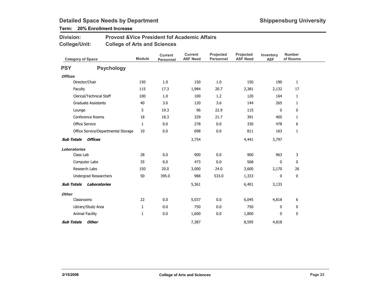### Term: 20% Enrollment Increase

| Division:     | <b>Provost &amp; Vice President fof Academic Affairs</b> |
|---------------|----------------------------------------------------------|
| College/Unit: | <b>College of Arts and Sciences</b>                      |

| <b>Category of Space</b> |                                     | <b>Module</b> | <b>Current</b><br>Personnel | <b>Current</b><br><b>ASF Need</b> | Projected<br>Personnel | Projected<br><b>ASF Need</b> | Inventory<br><b>ASF</b> | <b>Number</b><br>of Rooms |
|--------------------------|-------------------------------------|---------------|-----------------------------|-----------------------------------|------------------------|------------------------------|-------------------------|---------------------------|
| <b>PSY</b>               | <b>Psychology</b>                   |               |                             |                                   |                        |                              |                         |                           |
| <b>Offices</b>           |                                     |               |                             |                                   |                        |                              |                         |                           |
|                          | Director/Chair                      | 150           | 1.0                         | 150                               | 1.0                    | 150                          | 190                     | $\mathbf{1}$              |
| Faculty                  |                                     | 115           | 17.3                        | 1,984                             | 20.7                   | 2,381                        | 2,132                   | 17                        |
|                          | Clerical/Technical Staff            | 100           | 1.0                         | 100                               | 1.2                    | 120                          | 164                     | $\mathbf{1}$              |
|                          | <b>Graduate Assistants</b>          | 40            | 3.0                         | 120                               | 3.6                    | 144                          | 265                     | $\mathbf{1}$              |
| Lounge                   |                                     | 5             | 19.3                        | 96                                | 22.9                   | 115                          | $\mathbf 0$             | 0                         |
|                          | Conference Rooms                    | 18            | 18.3                        | 329                               | 21.7                   | 391                          | 405                     | $\mathbf{1}$              |
|                          | <b>Office Service</b>               | $\mathbf{1}$  | 0.0                         | 278                               | 0.0                    | 330                          | 478                     | 6                         |
|                          | Office Service/Departmental Storage | 10            | 0.0                         | 698                               | 0.0                    | 811                          | 163                     | $\mathbf{1}$              |
| <b>Sub Totals</b>        | Offices                             |               |                             | 3,754                             |                        | 4,441                        | 3,797                   |                           |
| Laboratories             |                                     |               |                             |                                   |                        |                              |                         |                           |
| Class Lab                |                                     | 28            | 0.0                         | 900                               | 0.0                    | 900                          | 963                     | 3                         |
|                          | Computer Labs                       | 35            | 0.0                         | 473                               | 0.0                    | 568                          | 0                       | 0                         |
|                          | Research Labs                       | 150           | 20.0                        | 3,000                             | 24.0                   | 3,600                        | 2,170                   | 26                        |
|                          | Undergrad Researchers               | 50            | 395.0                       | 988                               | 533.0                  | 1,333                        | 0                       | 0                         |
| <b>Sub Totals</b>        | Laboratories                        |               |                             | 5,361                             |                        | 6,401                        | 3,133                   |                           |
| <b>Other</b>             |                                     |               |                             |                                   |                        |                              |                         |                           |
| Classrooms               |                                     | 22            | 0.0                         | 5,037                             | 0.0                    | 6,045                        | 4,818                   | 6                         |
|                          | Library/Study Area                  | $\mathbf{1}$  | 0.0                         | 750                               | 0.0                    | 750                          | 0                       | 0                         |
|                          | Animal Facility                     | 1             | 0.0                         | 1,600                             | 0.0                    | 1,800                        | 0                       | 0                         |
| <b>Sub Totals</b>        | <b>Other</b>                        |               |                             | 7,387                             |                        | 8,595                        | 4,818                   |                           |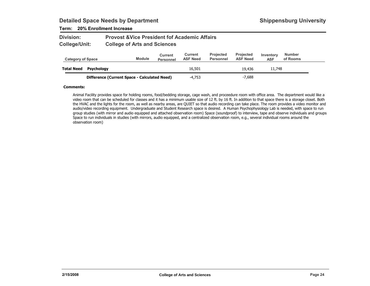### Term: 20% Enrollment Increase

| <b>Division:</b> | <b>Provost &amp; Vice President fof Academic Affairs</b> |
|------------------|----------------------------------------------------------|
| College/Unit:    | <b>College of Arts and Sciences</b>                      |

| <b>Category of Space</b> |                                              | <b>Module</b> | Current<br><b>Personnel</b> | Current<br><b>ASF Need</b> | <b>Projected</b><br>Personnel | <b>Projected</b><br><b>ASF Need</b> | Inventory<br><b>ASF</b> | <b>Number</b><br>of Rooms |
|--------------------------|----------------------------------------------|---------------|-----------------------------|----------------------------|-------------------------------|-------------------------------------|-------------------------|---------------------------|
| <b>Total Need</b>        | Psychology                                   |               |                             | 16,501                     |                               | 19,436                              | 11,748                  |                           |
|                          | Difference (Current Space - Calculated Need) |               |                             | $-4.753$                   |                               | $-7,688$                            |                         |                           |

#### Comments:

Animal Facility provides space for holding rooms, food/bedding storage, cage wash, and proceedure room with office area. The department would like a video room that can be scheduled for classes and it has a minimum usable size of 12 ft. by 16 ft. In addition to that space there is a storage closet. Both the HVAC and the lights for the room, as well as nearby areas, are QUIET so that audio recording can take place. The room provides a video monitor and audio/video recording equipment. Undergraduate and Student Research space is desired. A Human Psychophysiology Lab is needed, with space to run group studies (with mirror and audio equipped and attached observation room) Space (soundproof) to interview, tape and observe individuals and groups Space to run individuals in studies (with mirrors, audio equipped, and a centralized observation room, e.g., several individual rooms around the observation room)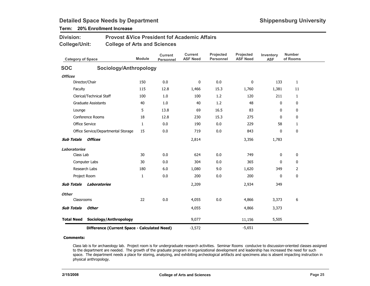## Term: 20% Enrollment Increase

Division:

| College/Unit:            | <b>College of Arts and Sciences</b>          |               |                                    |                                   |                               |                              |                         |                           |
|--------------------------|----------------------------------------------|---------------|------------------------------------|-----------------------------------|-------------------------------|------------------------------|-------------------------|---------------------------|
| <b>Category of Space</b> |                                              | <b>Module</b> | <b>Current</b><br><b>Personnel</b> | <b>Current</b><br><b>ASF Need</b> | Projected<br><b>Personnel</b> | Projected<br><b>ASF Need</b> | Inventory<br><b>ASF</b> | <b>Number</b><br>of Rooms |
| <b>SOC</b>               | Sociology/Anthropology                       |               |                                    |                                   |                               |                              |                         |                           |
| <b>Offices</b>           |                                              |               |                                    |                                   |                               |                              |                         |                           |
|                          | Director/Chair                               | 150           | 0.0                                | 0                                 | 0.0                           | $\mathbf 0$                  | 133                     | $\mathbf{1}$              |
| Faculty                  |                                              | 115           | 12.8                               | 1,466                             | 15.3                          | 1,760                        | 1,381                   | 11                        |
|                          | Clerical/Technical Staff                     | 100           | 1.0                                | 100                               | 1.2                           | 120                          | 211                     | $\mathbf{1}$              |
|                          | <b>Graduate Assistants</b>                   | 40            | 1.0                                | 40                                | 1.2                           | 48                           | 0                       | 0                         |
| Lounge                   |                                              | 5             | 13.8                               | 69                                | 16.5                          | 83                           | $\mathbf{0}$            | 0                         |
|                          | Conference Rooms                             | 18            | 12.8                               | 230                               | 15.3                          | 275                          | $\mathbf{0}$            | 0                         |
| Office Service           |                                              | $\mathbf{1}$  | 0.0                                | 190                               | 0.0                           | 229                          | 58                      | $\mathbf{1}$              |
|                          | Office Service/Departmental Storage          | 15            | 0.0                                | 719                               | 0.0                           | 843                          | 0                       | 0                         |
| <b>Sub Totals</b>        | Offices                                      |               |                                    | 2,814                             |                               | 3,356                        | 1,783                   |                           |
| <b>Laboratories</b>      |                                              |               |                                    |                                   |                               |                              |                         |                           |
| Class Lab                |                                              | 30            | 0.0                                | 624                               | 0.0                           | 749                          | 0                       | 0                         |
|                          | Computer Labs                                | 30            | 0.0                                | 304                               | 0.0                           | 365                          | 0                       | 0                         |
|                          | Research Labs                                | 180           | 6.0                                | 1,080                             | 9.0                           | 1,620                        | 349                     | 2                         |
| Project Room             |                                              | $\mathbf{1}$  | 0.0                                | 200                               | 0.0                           | 200                          | 0                       | 0                         |
| <b>Sub Totals</b>        | <b>Laboratories</b>                          |               |                                    | 2,209                             |                               | 2,934                        | 349                     |                           |
| <b>Other</b>             |                                              |               |                                    |                                   |                               |                              |                         |                           |
| Classrooms               |                                              | 22            | 0.0                                | 4,055                             | 0.0                           | 4,866                        | 3,373                   | 6                         |
| <b>Sub Totals</b>        | <b>Other</b>                                 |               |                                    | 4,055                             |                               | 4,866                        | 3,373                   |                           |
| <b>Total Need</b>        | Sociology/Anthropology                       |               |                                    | 9,077                             |                               | 11,156                       | 5,505                   |                           |
|                          | Difference (Current Space - Calculated Need) |               |                                    | $-3,572$                          |                               | $-5,651$                     |                         |                           |

Provost &Vice President fof Academic Affairs

#### Comments:

Class lab is for archaeology lab. Project room is for undergraduate research activities. Seminar Rooms conducive to discussion-oriented classes assigned to the department are needed. The growth of the graduate program in organizational development and leadership has increased the need for such space. The department needs a place for storing, analyzing, and exhibiting archeological artifacts and specimens also is absent impacting instruction in physical anthropology.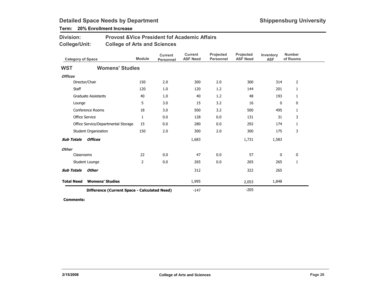### Term: 20% Enrollment Increase

| <b>Division:</b> | <b>Provost &amp; Vice President fof Academic Affairs</b> |
|------------------|----------------------------------------------------------|
| College/Unit:    | <b>College of Arts and Sciences</b>                      |

| <b>Category of Space</b> |                                              | <b>Module</b> | <b>Current</b><br><b>Personnel</b> | <b>Current</b><br><b>ASF Need</b> | Projected<br><b>Personnel</b> | <b>Projected</b><br><b>ASF Need</b> | Inventory<br><b>ASF</b> | <b>Number</b><br>of Rooms |
|--------------------------|----------------------------------------------|---------------|------------------------------------|-----------------------------------|-------------------------------|-------------------------------------|-------------------------|---------------------------|
| <b>WST</b>               | <b>Womens' Studies</b>                       |               |                                    |                                   |                               |                                     |                         |                           |
| <b>Offices</b>           |                                              |               |                                    |                                   |                               |                                     |                         |                           |
|                          | Director/Chair                               | 150           | 2.0                                | 300                               | 2.0                           | 300                                 | 314                     | 2                         |
| Staff                    |                                              | 120           | 1.0                                | 120                               | 1.2                           | 144                                 | 201                     | 1                         |
|                          | <b>Graduate Assistants</b>                   | 40            | 1.0                                | 40                                | 1.2                           | 48                                  | 193                     | 1                         |
| Lounge                   |                                              | 5             | 3.0                                | 15                                | 3.2                           | 16                                  | 0                       | 0                         |
|                          | Conference Rooms                             | 18            | 3.0                                | 500                               | 3.2                           | 500                                 | 495                     | 1                         |
|                          | Office Service                               | $\mathbf{1}$  | 0.0                                | 128                               | 0.0                           | 131                                 | 31                      | 3                         |
|                          | Office Service/Departmental Storage          | 15            | 0.0                                | 280                               | 0.0                           | 292                                 | 174                     | 1                         |
|                          | Student Organization                         | 150           | 2.0                                | 300                               | 2.0                           | 300                                 | 175                     | 3                         |
| <b>Sub Totals</b>        | <b>Offices</b>                               |               |                                    | 1,683                             |                               | 1,731                               | 1,583                   |                           |
| <b>Other</b>             |                                              |               |                                    |                                   |                               |                                     |                         |                           |
| Classrooms               |                                              | 22            | 0.0                                | 47                                | 0.0                           | 57                                  | 0                       | 0                         |
|                          | Student Lounge                               | 2             | 0.0                                | 265                               | 0.0                           | 265                                 | 265                     | 1                         |
| <b>Sub Totals</b>        | <b>Other</b>                                 |               |                                    | 312                               |                               | 322                                 | 265                     |                           |
| <b>Total Need</b>        | <b>Womens' Studies</b>                       |               |                                    | 1,995                             |                               | 2,053                               | 1,848                   |                           |
|                          | Difference (Current Space - Calculated Need) |               |                                    | $-147$                            |                               | $-205$                              |                         |                           |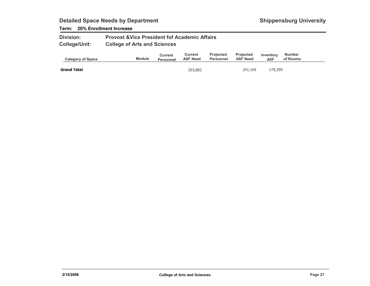### Term: 20% Enrollment Increase

| <b>Division:</b>     | <b>Provost &amp; Vice President fof Academic Affairs</b> |
|----------------------|----------------------------------------------------------|
| <b>College/Unit:</b> | <b>College of Arts and Sciences</b>                      |

| <b>Category of Space</b> | <b>Module</b> | Current<br>Personnel | Current<br><b>ASF Need</b> | <b>Projected</b><br>Personnel | <b>Projected</b><br><b>ASF Need</b> | Inventory<br><b>ASF</b> | <b>Number</b><br>of Rooms |  |
|--------------------------|---------------|----------------------|----------------------------|-------------------------------|-------------------------------------|-------------------------|---------------------------|--|
| <b>Grand Total</b>       |               |                      | 203,882                    |                               | 241.165                             | 179,399                 |                           |  |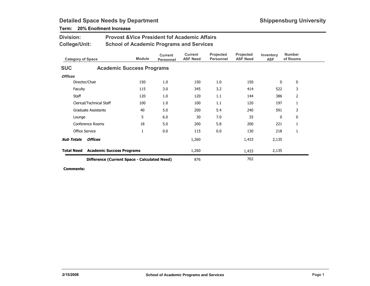| <b>Division:</b>                                           | <b>Provost &amp; Vice President fof Academic Affairs</b> |                                                 |                             |                                   |                               |                              |                         |                           |  |  |
|------------------------------------------------------------|----------------------------------------------------------|-------------------------------------------------|-----------------------------|-----------------------------------|-------------------------------|------------------------------|-------------------------|---------------------------|--|--|
| <b>College/Unit:</b>                                       |                                                          | <b>School of Academic Programs and Services</b> |                             |                                   |                               |                              |                         |                           |  |  |
| <b>Category of Space</b>                                   |                                                          | <b>Module</b>                                   | <b>Current</b><br>Personnel | <b>Current</b><br><b>ASF Need</b> | Projected<br><b>Personnel</b> | Projected<br><b>ASF Need</b> | Inventory<br><b>ASF</b> | <b>Number</b><br>of Rooms |  |  |
| <b>SUC</b>                                                 |                                                          | <b>Academic Success Programs</b>                |                             |                                   |                               |                              |                         |                           |  |  |
| <b>Offices</b>                                             |                                                          |                                                 |                             |                                   |                               |                              |                         |                           |  |  |
|                                                            | Director/Chair                                           | 150                                             | 1.0                         | 150                               | 1.0                           | 150                          | 0                       | 0                         |  |  |
| Faculty                                                    |                                                          | 115                                             | 3.0                         | 345                               | 3.2                           | 414                          | 522                     | 3                         |  |  |
| Staff                                                      |                                                          | 120                                             | 1.0                         | 120                               | 1.1                           | 144                          | 386                     | 2                         |  |  |
|                                                            | Clerical/Technical Staff                                 | 100                                             | 1.0                         | 100                               | 1.1                           | 120                          | 197                     | 1                         |  |  |
|                                                            | <b>Graduate Assistants</b>                               | 40                                              | 5.0                         | 200                               | 5.4                           | 240                          | 591                     | 3                         |  |  |
| Lounge                                                     |                                                          | 5                                               | 6.0                         | 30                                | 7.0                           | 35                           | 0                       | 0                         |  |  |
|                                                            | Conference Rooms                                         | 18                                              | 5.0                         | 200                               | 5.8                           | 200                          | 221                     | 1                         |  |  |
|                                                            | Office Service                                           | 1                                               | 0.0                         | 115                               | 0.0                           | 130                          | 218                     | 1                         |  |  |
| <b>Sub Totals</b>                                          | <b>Offices</b>                                           |                                                 |                             | 1,260                             |                               | 1,433                        | 2,135                   |                           |  |  |
| <b>Total Need</b>                                          |                                                          | <b>Academic Success Programs</b>                |                             | 1,260                             |                               | 1,433                        | 2,135                   |                           |  |  |
| 702<br>876<br>Difference (Current Space - Calculated Need) |                                                          |                                                 |                             |                                   |                               |                              |                         |                           |  |  |

### Term: 20% Enollment Increase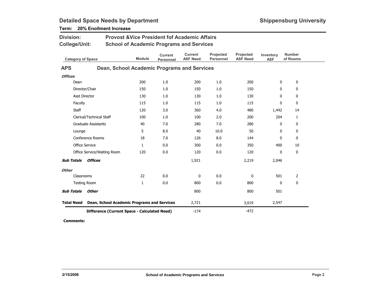| <b>Division:</b><br><b>College/Unit:</b> |                                              | <b>Provost &amp; Vice President fof Academic Affairs</b><br><b>School of Academic Programs and Services</b> |                             |                                   |                               |                              |                         |                           |  |  |
|------------------------------------------|----------------------------------------------|-------------------------------------------------------------------------------------------------------------|-----------------------------|-----------------------------------|-------------------------------|------------------------------|-------------------------|---------------------------|--|--|
| <b>Category of Space</b>                 |                                              | <b>Module</b>                                                                                               | <b>Current</b><br>Personnel | <b>Current</b><br><b>ASF Need</b> | Projected<br><b>Personnel</b> | Projected<br><b>ASF Need</b> | Inventory<br><b>ASF</b> | <b>Number</b><br>of Rooms |  |  |
| <b>APS</b>                               | Dean, School Academic Programs and Services  |                                                                                                             |                             |                                   |                               |                              |                         |                           |  |  |
| <b>Offices</b>                           |                                              |                                                                                                             |                             |                                   |                               |                              |                         |                           |  |  |
| Dean                                     |                                              | 200                                                                                                         | 1.0                         | 200                               | 1.0                           | 200                          | 0                       | 0                         |  |  |
| Director/Chair                           |                                              | 150                                                                                                         | 1.0                         | 150                               | 1.0                           | 150                          | $\mathbf{0}$            | 0                         |  |  |
| Asst Director                            |                                              | 130                                                                                                         | 1.0                         | 130                               | 1.0                           | 130                          | 0                       | $\mathbf 0$               |  |  |
| Faculty                                  |                                              | 115                                                                                                         | 1.0                         | 115                               | 1.0                           | 115                          | 0                       | 0                         |  |  |
| Staff                                    |                                              | 120                                                                                                         | 3.0                         | 360                               | 4.0                           | 480                          | 1,442                   | 14                        |  |  |
| Clerical/Technical Staff                 |                                              | 100                                                                                                         | 1.0                         | 100                               | 2.0                           | 200                          | 204                     | $\mathbf{1}$              |  |  |
| <b>Graduate Assistants</b>               |                                              | 40                                                                                                          | 7.0                         | 280                               | 7.0                           | 280                          | $\mathbf{0}$            | 0                         |  |  |
| Lounge                                   |                                              | 5                                                                                                           | 8.0                         | 40                                | 10.0                          | 50                           | 0                       | 0                         |  |  |
| <b>Conference Rooms</b>                  |                                              | 18                                                                                                          | 7.0                         | 126                               | 8.0                           | 144                          | $\mathbf{0}$            | $\mathbf 0$               |  |  |
| <b>Office Service</b>                    |                                              | $\mathbf{1}$                                                                                                | 0.0                         | 300                               | 0.0                           | 350                          | 400                     | 10                        |  |  |
| Office Service/Waiting Room              |                                              | 120                                                                                                         | 0.0                         | 120                               | 0.0                           | 120                          | 0                       | $\mathbf{0}$              |  |  |
| <b>Sub Totals</b><br><b>Offices</b>      |                                              |                                                                                                             |                             | 1,921                             |                               | 2,219                        | 2,046                   |                           |  |  |
| <b>Other</b>                             |                                              |                                                                                                             |                             |                                   |                               |                              |                         |                           |  |  |
| Classrooms                               |                                              | 22                                                                                                          | 0.0                         | $\mathbf 0$                       | 0.0                           | $\mathbf 0$                  | 501                     | $\overline{2}$            |  |  |
| <b>Testing Room</b>                      |                                              | 1                                                                                                           | 0.0                         | 800                               | 0.0                           | 800                          | 0                       | 0                         |  |  |
| <b>Sub Totals</b><br>Other               |                                              |                                                                                                             |                             | 800                               |                               | 800                          | 501                     |                           |  |  |
| <b>Total Need</b>                        | Dean, School Academic Programs and Services  |                                                                                                             |                             | 2,721                             |                               | 3,019                        | 2,547                   |                           |  |  |
|                                          | Difference (Current Space - Calculated Need) |                                                                                                             |                             | $-174$                            |                               | $-472$                       |                         |                           |  |  |

### Term: 20% Enollment Increase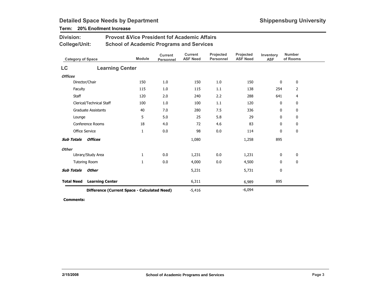### Term: 20% Enollment Increase

Division:

| <b>College/Unit:</b>       |                                              | <b>School of Academic Programs and Services</b> |                                    |                                   |                               |                              |                         |                           |
|----------------------------|----------------------------------------------|-------------------------------------------------|------------------------------------|-----------------------------------|-------------------------------|------------------------------|-------------------------|---------------------------|
| <b>Category of Space</b>   |                                              | <b>Module</b>                                   | <b>Current</b><br><b>Personnel</b> | <b>Current</b><br><b>ASF Need</b> | Projected<br><b>Personnel</b> | Projected<br><b>ASF Need</b> | Inventory<br><b>ASF</b> | <b>Number</b><br>of Rooms |
| LC                         | <b>Learning Center</b>                       |                                                 |                                    |                                   |                               |                              |                         |                           |
| <b>Offices</b>             |                                              |                                                 |                                    |                                   |                               |                              |                         |                           |
|                            | Director/Chair                               | 150                                             | 1.0                                | 150                               | 1.0                           | 150                          | 0                       | 0                         |
| Faculty                    |                                              | 115                                             | 1.0                                | 115                               | 1.1                           | 138                          | 254                     | 2                         |
| Staff                      |                                              | 120                                             | 2.0                                | 240                               | 2.2                           | 288                          | 641                     | 4                         |
| Clerical/Technical Staff   |                                              | 100                                             | 1.0                                | 100                               | 1.1                           | 120                          | $\mathbf 0$             | 0                         |
| <b>Graduate Assistants</b> |                                              | 40                                              | 7.0                                | 280                               | 7.5                           | 336                          | $\mathbf{0}$            | 0                         |
|                            | Lounge                                       |                                                 | 5.0                                | 25                                | 5.8                           | 29                           | $\mathbf 0$             | 0                         |
|                            | Conference Rooms                             | 18                                              | 4.0                                | 72                                | 4.6                           | 83                           | $\mathbf{0}$            | 0                         |
|                            | <b>Office Service</b>                        | 1                                               | 0.0                                | 98                                | 0.0                           | 114                          | $\mathbf 0$             | 0                         |
| <b>Sub Totals</b>          | <b>Offices</b>                               |                                                 |                                    | 1,080                             |                               | 1,258                        | 895                     |                           |
| <b>Other</b>               |                                              |                                                 |                                    |                                   |                               |                              |                         |                           |
|                            | Library/Study Area                           | 1                                               | 0.0                                | 1,231                             | 0.0                           | 1,231                        | 0                       | 0                         |
|                            | <b>Tutoring Room</b>                         | 1                                               | 0.0                                | 4,000                             | 0.0                           | 4,500                        | 0                       | 0                         |
| <b>Sub Totals</b>          | Other                                        |                                                 |                                    | 5,231                             |                               | 5,731                        | $\mathbf 0$             |                           |
| <b>Total Need</b>          | <b>Learning Center</b>                       |                                                 |                                    | 6,311                             |                               | 6,989                        | 895                     |                           |
|                            | Difference (Current Space - Calculated Need) |                                                 |                                    | $-5,416$                          |                               | $-6,094$                     |                         |                           |

Provost &Vice President fof Academic Affairs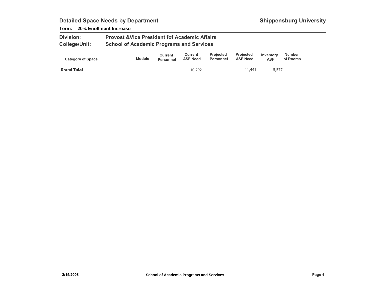### Term: 20% Enollment Increase

| <b>Division:</b>     | <b>Provost &amp; Vice President fof Academic Affairs</b> |
|----------------------|----------------------------------------------------------|
| <b>College/Unit:</b> | <b>School of Academic Programs and Services</b>          |

| <b>Category of Space</b> | <b>Module</b> | Current<br><b>Personnel</b> | Current<br><b>ASF Need</b> | <b>Projected</b><br>Personnel | <b>Projected</b><br><b>ASF Need</b> | Inventory<br><b>ASF</b> | <b>Number</b><br>of Rooms |  |
|--------------------------|---------------|-----------------------------|----------------------------|-------------------------------|-------------------------------------|-------------------------|---------------------------|--|
| <b>Grand Total</b>       |               |                             | 10,292                     |                               | 11,441                              | 5,577                   |                           |  |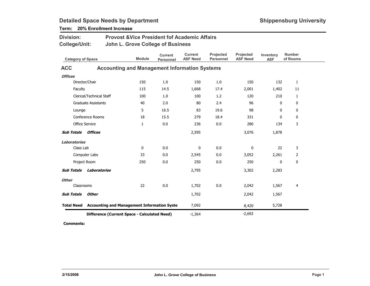| <b>Division:</b>         |                                                               | <b>Provost &amp; Vice President fof Academic Affairs</b> |                                    |                                   |                               |                              |                         |                           |  |  |  |
|--------------------------|---------------------------------------------------------------|----------------------------------------------------------|------------------------------------|-----------------------------------|-------------------------------|------------------------------|-------------------------|---------------------------|--|--|--|
| College/Unit:            |                                                               | John L. Grove College of Business                        |                                    |                                   |                               |                              |                         |                           |  |  |  |
| <b>Category of Space</b> |                                                               | <b>Module</b>                                            | <b>Current</b><br><b>Personnel</b> | <b>Current</b><br><b>ASF Need</b> | Projected<br><b>Personnel</b> | Projected<br><b>ASF Need</b> | Inventory<br><b>ASF</b> | <b>Number</b><br>of Rooms |  |  |  |
| <b>ACC</b>               |                                                               | <b>Accounting and Management Information Systems</b>     |                                    |                                   |                               |                              |                         |                           |  |  |  |
| <b>Offices</b>           |                                                               |                                                          |                                    |                                   |                               |                              |                         |                           |  |  |  |
|                          | Director/Chair                                                | 150                                                      | 1.0                                | 150                               | 1.0                           | 150                          | 132                     | $\mathbf{1}$              |  |  |  |
| Faculty                  |                                                               | 115                                                      | 14.5                               | 1,668                             | 17.4                          | 2,001                        | 1,402                   | 11                        |  |  |  |
|                          | Clerical/Technical Staff                                      | 100                                                      | 1.0                                | 100                               | 1.2                           | 120                          | 210                     | $\mathbf{1}$              |  |  |  |
|                          | <b>Graduate Assistants</b>                                    | 40                                                       | 2.0                                | 80                                | 2.4                           | 96                           | 0                       | 0                         |  |  |  |
| Lounge                   |                                                               | 5                                                        | 16.5                               | 83                                | 19.6                          | 98                           | 0                       | 0                         |  |  |  |
| Conference Rooms         |                                                               | 18                                                       | 15.5                               | 279                               | 18.4                          | 331                          | $\mathbf{0}$            | 0                         |  |  |  |
|                          | Office Service                                                | $\mathbf{1}$                                             | 0.0                                | 236                               | 0.0                           | 280                          | 134                     | 3                         |  |  |  |
| <b>Sub Totals</b>        | Offices                                                       |                                                          |                                    | 2,595                             |                               | 3,076                        | 1,878                   |                           |  |  |  |
| <b>Laboratories</b>      |                                                               |                                                          |                                    |                                   |                               |                              |                         |                           |  |  |  |
| Class Lab                |                                                               | $\mathbf 0$                                              | 0.0                                | 0                                 | 0.0                           | 0                            | 22                      | 3                         |  |  |  |
|                          | Computer Labs                                                 | 33                                                       | 0.0                                | 2,545                             | 0.0                           | 3,052                        | 2,261                   | 2                         |  |  |  |
|                          | Project Room                                                  | 250                                                      | 0.0                                | 250                               | 0.0                           | 250                          | 0                       | 0                         |  |  |  |
| <b>Sub Totals</b>        | Laboratories                                                  |                                                          |                                    | 2,795                             |                               | 3,302                        | 2,283                   |                           |  |  |  |
| <b>Other</b>             |                                                               |                                                          |                                    |                                   |                               |                              |                         |                           |  |  |  |
| Classrooms               |                                                               | 22                                                       | 0.0                                | 1,702                             | 0.0                           | 2,042                        | 1,567                   | 4                         |  |  |  |
| <b>Sub Totals</b>        | Other                                                         |                                                          |                                    | 1,702                             |                               | 2,042                        | 1,567                   |                           |  |  |  |
|                          | <b>Total Need</b> Accounting and Management Information Syste |                                                          |                                    | 7,092                             |                               | 8,420                        | 5,728                   |                           |  |  |  |
|                          | Difference (Current Space - Calculated Need)                  | $-1,364$                                                 |                                    | $-2,692$                          |                               |                              |                         |                           |  |  |  |

### Term: 20% Enrollment Increase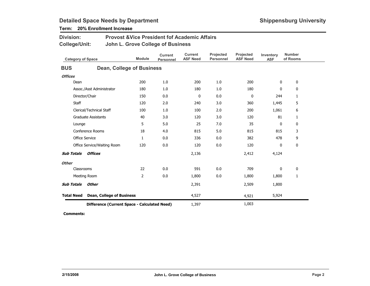| <b>Division:</b><br><b>College/Unit:</b> |                                  | <b>Provost &amp; Vice President fof Academic Affairs</b><br>John L. Grove College of Business |                                    |                                   |                               |                              |                         |                           |  |  |  |
|------------------------------------------|----------------------------------|-----------------------------------------------------------------------------------------------|------------------------------------|-----------------------------------|-------------------------------|------------------------------|-------------------------|---------------------------|--|--|--|
| <b>Category of Space</b>                 |                                  | <b>Module</b>                                                                                 | <b>Current</b><br><b>Personnel</b> | <b>Current</b><br><b>ASF Need</b> | Projected<br><b>Personnel</b> | Projected<br><b>ASF Need</b> | Inventory<br><b>ASF</b> | <b>Number</b><br>of Rooms |  |  |  |
| <b>BUS</b>                               |                                  | <b>Dean, College of Business</b>                                                              |                                    |                                   |                               |                              |                         |                           |  |  |  |
| <b>Offices</b>                           |                                  |                                                                                               |                                    |                                   |                               |                              |                         |                           |  |  |  |
| Dean                                     |                                  | 200                                                                                           | 1.0                                | 200                               | 1.0                           | 200                          | $\mathbf 0$             | 0                         |  |  |  |
|                                          | Assoc./Asst Administrator        | 180                                                                                           | 1.0                                | 180                               | 1.0                           | 180                          | 0                       | 0                         |  |  |  |
|                                          | Director/Chair                   | 150                                                                                           | 0.0                                | $\mathbf 0$                       | 0.0                           | 0                            | 244                     | 1                         |  |  |  |
| Staff                                    |                                  | 120                                                                                           | 2.0                                | 240                               | 3.0                           | 360                          | 1,445                   | 5                         |  |  |  |
| Clerical/Technical Staff                 |                                  | 100                                                                                           | 1.0                                | 100                               | 2.0                           | 200                          | 1,061                   | 6                         |  |  |  |
| <b>Graduate Assistants</b>               |                                  | 40                                                                                            | 3.0                                | 120                               | 3.0                           | 120                          | 81                      | 1                         |  |  |  |
| Lounge                                   |                                  | 5                                                                                             | 5.0                                | 25                                | 7.0                           | 35                           | 0                       | $\mathbf 0$               |  |  |  |
|                                          | Conference Rooms                 | 18                                                                                            | 4.0                                | 815                               | 5.0                           | 815                          | 815                     | 3                         |  |  |  |
| <b>Office Service</b>                    |                                  | $\mathbf{1}$                                                                                  | 0.0                                | 336                               | 0.0                           | 382                          | 478                     | 9                         |  |  |  |
|                                          | Office Service/Waiting Room      | 120                                                                                           | 0.0                                | 120                               | 0.0                           | 120                          | 0                       | 0                         |  |  |  |
| <b>Sub Totals</b>                        | <b>Offices</b>                   |                                                                                               |                                    | 2,136                             |                               | 2,412                        | 4,124                   |                           |  |  |  |
| <b>Other</b>                             |                                  |                                                                                               |                                    |                                   |                               |                              |                         |                           |  |  |  |
| Classrooms                               |                                  | 22                                                                                            | 0.0                                | 591                               | 0.0                           | 709                          | 0                       | 0                         |  |  |  |
|                                          | Meeting Room                     | $\overline{2}$                                                                                | 0.0                                | 1,800                             | 0.0                           | 1,800                        | 1,800                   | $\mathbf{1}$              |  |  |  |
| <b>Sub Totals</b>                        | <b>Other</b>                     |                                                                                               |                                    | 2,391                             |                               | 2,509                        | 1,800                   |                           |  |  |  |
| <b>Total Need</b>                        | <b>Dean, College of Business</b> |                                                                                               |                                    | 4,527                             |                               | 4,921                        | 5,924                   |                           |  |  |  |
|                                          |                                  | Difference (Current Space - Calculated Need)                                                  |                                    | 1,397                             |                               | 1,003                        |                         |                           |  |  |  |

Term: 20% Enrollment Increase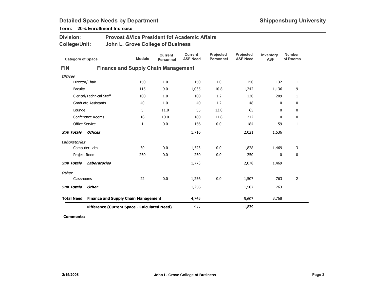| Term: 20% Enrollment Increase |  |
|-------------------------------|--|
|-------------------------------|--|

| <b>Division:</b><br><b>College/Unit:</b> |                            | <b>Provost &amp; Vice President fof Academic Affairs</b><br>John L. Grove College of Business |                                    |                                   |                               |                              |                         |                           |  |  |  |
|------------------------------------------|----------------------------|-----------------------------------------------------------------------------------------------|------------------------------------|-----------------------------------|-------------------------------|------------------------------|-------------------------|---------------------------|--|--|--|
| <b>Category of Space</b>                 |                            | <b>Module</b>                                                                                 | <b>Current</b><br><b>Personnel</b> | <b>Current</b><br><b>ASF Need</b> | Projected<br><b>Personnel</b> | Projected<br><b>ASF Need</b> | Inventory<br><b>ASF</b> | <b>Number</b><br>of Rooms |  |  |  |
| <b>FIN</b>                               |                            | <b>Finance and Supply Chain Management</b>                                                    |                                    |                                   |                               |                              |                         |                           |  |  |  |
| <b>Offices</b>                           |                            |                                                                                               |                                    |                                   |                               |                              |                         |                           |  |  |  |
|                                          | Director/Chair             | 150                                                                                           | 1.0                                | 150                               | 1.0                           | 150                          | 132                     | $\mathbf{1}$              |  |  |  |
| Faculty                                  |                            | 115                                                                                           | 9.0                                | 1,035                             | 10.8                          | 1,242                        | 1,136                   | 9                         |  |  |  |
|                                          | Clerical/Technical Staff   | 100                                                                                           | 1.0                                | 100                               | 1.2                           | 120                          | 209                     | $\mathbf{1}$              |  |  |  |
|                                          | <b>Graduate Assistants</b> | 40                                                                                            | 1.0                                | 40                                | 1.2                           | 48                           | 0                       | 0                         |  |  |  |
| 5<br>Lounge                              |                            |                                                                                               | 11.0                               | 55                                | 13.0                          | 65                           | 0                       | $\mathbf 0$               |  |  |  |
| Conference Rooms<br>18                   |                            | 10.0                                                                                          | 180                                | 11.8                              | 212                           | 0                            | 0                       |                           |  |  |  |
|                                          | <b>Office Service</b>      |                                                                                               | 0.0                                | 156                               | 0.0                           | 184                          | 59                      | $\mathbf{1}$              |  |  |  |
| <b>Sub Totals</b>                        | Offices                    |                                                                                               |                                    | 1,716                             |                               | 2,021                        | 1,536                   |                           |  |  |  |
| <b>Laboratories</b>                      |                            |                                                                                               |                                    |                                   |                               |                              |                         |                           |  |  |  |
|                                          | Computer Labs              | 30                                                                                            | 0.0                                | 1,523                             | 0.0                           | 1,828                        | 1,469                   | 3                         |  |  |  |
|                                          | Project Room               | 250                                                                                           | 0.0                                | 250                               | 0.0                           | 250                          | 0                       | 0                         |  |  |  |
| <b>Sub Totals</b>                        | Laboratories               |                                                                                               |                                    | 1,773                             |                               | 2,078                        | 1,469                   |                           |  |  |  |
| <b>Other</b>                             |                            |                                                                                               |                                    |                                   |                               |                              |                         |                           |  |  |  |
| Classrooms                               |                            | 22                                                                                            | 0.0                                | 1,256                             | 0.0                           | 1,507                        | 763                     | $\overline{2}$            |  |  |  |
| <b>Sub Totals</b>                        | Other                      |                                                                                               |                                    | 1,256                             |                               | 1,507                        | 763                     |                           |  |  |  |
| <b>Total Need</b>                        |                            | <b>Finance and Supply Chain Management</b>                                                    |                                    | 4,745                             |                               | 5,607                        | 3,768                   |                           |  |  |  |
|                                          |                            | Difference (Current Space - Calculated Need)                                                  | $-977$                             |                                   | $-1,839$                      |                              |                         |                           |  |  |  |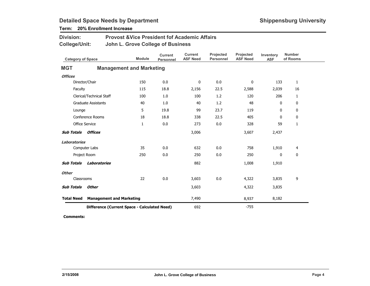| <b>Division:</b><br>College/Unit: |                                              | <b>Provost &amp; Vice President fof Academic Affairs</b><br>John L. Grove College of Business |               |                                    |                                   |                               |                              |                         |                           |  |  |
|-----------------------------------|----------------------------------------------|-----------------------------------------------------------------------------------------------|---------------|------------------------------------|-----------------------------------|-------------------------------|------------------------------|-------------------------|---------------------------|--|--|
| <b>Category of Space</b>          |                                              |                                                                                               | <b>Module</b> | <b>Current</b><br><b>Personnel</b> | <b>Current</b><br><b>ASF Need</b> | Projected<br><b>Personnel</b> | Projected<br><b>ASF Need</b> | Inventory<br><b>ASF</b> | <b>Number</b><br>of Rooms |  |  |
| <b>MGT</b>                        |                                              | <b>Management and Marketing</b>                                                               |               |                                    |                                   |                               |                              |                         |                           |  |  |
| <b>Offices</b>                    |                                              |                                                                                               |               |                                    |                                   |                               |                              |                         |                           |  |  |
|                                   | Director/Chair                               |                                                                                               | 150           | 0.0                                | $\mathbf 0$                       | 0.0                           | 0                            | 133                     | $\mathbf{1}$              |  |  |
| Faculty                           |                                              |                                                                                               | 115           | 18.8                               | 2,156                             | 22.5                          | 2,588                        | 2,039                   | 16                        |  |  |
|                                   | Clerical/Technical Staff                     |                                                                                               | 100           | 1.0                                | 100                               | 1.2                           | 120                          | 206                     | $\mathbf{1}$              |  |  |
| <b>Graduate Assistants</b><br>40  |                                              |                                                                                               | 1.0           | 40                                 | 1.2                               | 48                            | 0                            | 0                       |                           |  |  |
| 5<br>Lounge                       |                                              |                                                                                               | 19.8          | 99                                 | 23.7                              | 119                           | 0                            | 0                       |                           |  |  |
| Conference Rooms<br>18            |                                              |                                                                                               | 18.8          | 338                                | 22.5                              | 405                           | $\mathbf{0}$                 | 0                       |                           |  |  |
|                                   | <b>Office Service</b>                        |                                                                                               | 1             | 0.0                                | 273                               | 0.0                           | 328                          | 59                      | $\mathbf{1}$              |  |  |
| <b>Sub Totals</b>                 | Offices                                      |                                                                                               |               |                                    | 3,006                             |                               | 3,607                        | 2,437                   |                           |  |  |
| <b>Laboratories</b>               |                                              |                                                                                               |               |                                    |                                   |                               |                              |                         |                           |  |  |
|                                   | Computer Labs                                |                                                                                               | 35            | 0.0                                | 632                               | 0.0                           | 758                          | 1,910                   | 4                         |  |  |
|                                   | Project Room                                 |                                                                                               | 250           | 0.0                                | 250                               | 0.0                           | 250                          | $\mathbf{0}$            | $\mathbf{0}$              |  |  |
| <b>Sub Totals</b>                 | Laboratories                                 |                                                                                               |               |                                    | 882                               |                               | 1,008                        | 1,910                   |                           |  |  |
| <b>Other</b>                      |                                              |                                                                                               |               |                                    |                                   |                               |                              |                         |                           |  |  |
| Classrooms                        |                                              |                                                                                               | 22            | 0.0                                | 3,603                             | 0.0                           | 4,322                        | 3,835                   | 9                         |  |  |
| <b>Sub Totals</b>                 | <b>Other</b>                                 |                                                                                               |               |                                    | 3,603                             |                               | 4,322                        | 3,835                   |                           |  |  |
| <b>Total Need</b>                 |                                              | <b>Management and Marketing</b>                                                               |               |                                    | 7,490                             |                               | 8,937                        | 8,182                   |                           |  |  |
|                                   | Difference (Current Space - Calculated Need) |                                                                                               |               |                                    | 692                               |                               | $-755$                       |                         |                           |  |  |

Term: 20% Enrollment Increase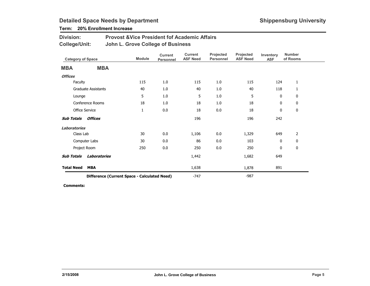### Term: 20% Enrollment Increase

| <b>Division:</b> | <b>Provost &amp; Vice President fof Academic Affairs</b> |
|------------------|----------------------------------------------------------|
| College/Unit:    | John L. Grove College of Business                        |

| <b>Category of Space</b> |                                              | <b>Module</b> | <b>Current</b><br>Personnel | <b>Current</b><br><b>ASF Need</b> | Projected<br><b>Personnel</b> | Projected<br><b>ASF Need</b> | Inventory<br><b>ASF</b> | <b>Number</b><br>of Rooms |
|--------------------------|----------------------------------------------|---------------|-----------------------------|-----------------------------------|-------------------------------|------------------------------|-------------------------|---------------------------|
| <b>MBA</b>               | <b>MBA</b>                                   |               |                             |                                   |                               |                              |                         |                           |
| <b>Offices</b>           |                                              |               |                             |                                   |                               |                              |                         |                           |
| Faculty                  |                                              | 115           | 1.0                         | 115                               | 1.0                           | 115                          | 124                     | $\mathbf{1}$              |
|                          | <b>Graduate Assistants</b>                   | 40            | 1.0                         | 40                                | 1.0                           | 40                           | 118                     | 1                         |
| Lounge                   |                                              | 5             | 1.0                         | 5                                 | 1.0                           | 5                            | $\mathbf 0$             | 0                         |
| Conference Rooms         |                                              | 18            | 1.0                         | 18                                | 1.0                           | 18                           | 0                       | 0                         |
|                          | <b>Office Service</b>                        | $\mathbf{1}$  | $0.0\,$                     | 18                                | $0.0\,$                       | 18                           | 0                       | $\mathbf 0$               |
| Sub Totals               | Offices                                      |               |                             | 196                               |                               | 196                          | 242                     |                           |
| Laboratories             |                                              |               |                             |                                   |                               |                              |                         |                           |
| Class Lab                |                                              | 30            | 0.0                         | 1,106                             | 0.0                           | 1,329                        | 649                     | 2                         |
|                          | Computer Labs                                | 30            | 0.0                         | 86                                | 0.0                           | 103                          | 0                       | 0                         |
|                          | Project Room                                 | 250           | 0.0                         | 250                               | 0.0                           | 250                          | 0                       | 0                         |
| <b>Sub Totals</b>        | Laboratories                                 |               |                             | 1,442                             |                               | 1,682                        | 649                     |                           |
| <b>Total Need</b>        | <b>MBA</b>                                   |               |                             | 1,638                             |                               | 1,878                        | 891                     |                           |
|                          | Difference (Current Space - Calculated Need) |               |                             | $-747$                            |                               | $-987$                       |                         |                           |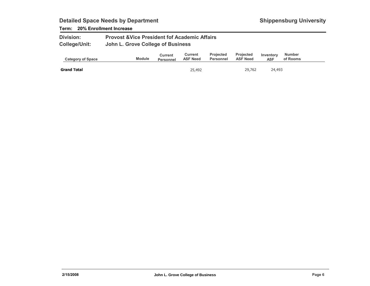### Term: 20% Enrollment Increase

| <b>Division:</b>     | <b>Provost &amp; Vice President fof Academic Affairs</b> |
|----------------------|----------------------------------------------------------|
| <b>College/Unit:</b> | John L. Grove College of Business                        |

| <b>Category of Space</b> | <b>Module</b> | Current<br><b>Personnel</b> | Current<br><b>ASF Need</b> | <b>Projected</b><br>Personnel | <b>Projected</b><br><b>ASF Need</b> | Inventory<br><b>ASF</b> | Number<br>of Rooms |
|--------------------------|---------------|-----------------------------|----------------------------|-------------------------------|-------------------------------------|-------------------------|--------------------|
| <b>Grand Total</b>       |               |                             | 25,492                     |                               | 29.762                              | 24,493                  |                    |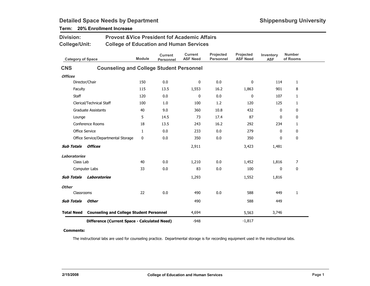| <b>Division:</b>         |                                                 | <b>Provost &amp; Vice President fof Academic Affairs</b> |                                    |                                   |                               |                              |                         |                           |  |  |  |
|--------------------------|-------------------------------------------------|----------------------------------------------------------|------------------------------------|-----------------------------------|-------------------------------|------------------------------|-------------------------|---------------------------|--|--|--|
| <b>College/Unit:</b>     |                                                 | <b>College of Education and Human Services</b>           |                                    |                                   |                               |                              |                         |                           |  |  |  |
| <b>Category of Space</b> |                                                 | <b>Module</b>                                            | <b>Current</b><br><b>Personnel</b> | <b>Current</b><br><b>ASF Need</b> | Projected<br><b>Personnel</b> | Projected<br><b>ASF Need</b> | Inventory<br><b>ASF</b> | <b>Number</b><br>of Rooms |  |  |  |
| <b>CNS</b>               | <b>Counseling and College Student Personnel</b> |                                                          |                                    |                                   |                               |                              |                         |                           |  |  |  |
| <b>Offices</b>           |                                                 |                                                          |                                    |                                   |                               |                              |                         |                           |  |  |  |
|                          | Director/Chair                                  | 150                                                      | 0.0                                | $\mathbf 0$                       | 0.0                           | 0                            | 114                     | $\mathbf{1}$              |  |  |  |
| Faculty                  |                                                 | 115                                                      | 13.5                               | 1,553                             | 16.2                          | 1,863                        | 901                     | 8                         |  |  |  |
| Staff                    |                                                 | 120                                                      | 0.0                                | 0                                 | 0.0                           | 0                            | 107                     | 1                         |  |  |  |
|                          | Clerical/Technical Staff                        | 100                                                      | 1.0                                | 100                               | 1.2                           | 120                          | 125                     | 1                         |  |  |  |
|                          | <b>Graduate Assistants</b>                      | 40                                                       | 9.0                                | 360                               | 10.8                          | 432                          | 0                       | 0                         |  |  |  |
| Lounge                   |                                                 | 5                                                        | 14.5                               | 73                                | 17.4                          | 87                           | $\mathbf{0}$            | 0                         |  |  |  |
|                          | Conference Rooms                                | 18                                                       | 13.5                               | 243                               | 16.2                          | 292                          | 234                     | 1                         |  |  |  |
| Office Service           |                                                 | 1                                                        | 0.0                                | 233                               | 0.0                           | 279                          | 0                       | 0                         |  |  |  |
|                          | Office Service/Departmental Storage             | 0                                                        | 0.0                                | 350                               | 0.0                           | 350                          | 0                       | $\mathbf 0$               |  |  |  |
| <b>Sub Totals</b>        | <b>Offices</b>                                  |                                                          |                                    | 2,911                             |                               | 3,423                        | 1,481                   |                           |  |  |  |
| <b>Laboratories</b>      |                                                 |                                                          |                                    |                                   |                               |                              |                         |                           |  |  |  |
| Class Lab                |                                                 | 40                                                       | 0.0                                | 1,210                             | 0.0                           | 1,452                        | 1,816                   | 7                         |  |  |  |
|                          | Computer Labs                                   | 33                                                       | 0.0                                | 83                                | 0.0                           | 100                          | 0                       | 0                         |  |  |  |
| <b>Sub Totals</b>        | <b>Laboratories</b>                             |                                                          |                                    | 1,293                             |                               | 1,552                        | 1,816                   |                           |  |  |  |
| <b>Other</b>             |                                                 |                                                          |                                    |                                   |                               |                              |                         |                           |  |  |  |
| Classrooms               |                                                 | 22                                                       | 0.0                                | 490                               | 0.0                           | 588                          | 449                     | 1                         |  |  |  |
| <b>Sub Totals</b>        | <b>Other</b>                                    |                                                          |                                    | 490                               |                               | 588                          | 449                     |                           |  |  |  |
| <b>Total Need</b>        | <b>Counseling and College Student Personnel</b> |                                                          |                                    | 4,694                             |                               | 5,563                        | 3,746                   |                           |  |  |  |
|                          | Difference (Current Space - Calculated Need)    |                                                          |                                    | $-948$                            |                               | $-1,817$                     |                         |                           |  |  |  |

### Term: 20% Enrollment Increase

#### Comments:

The instructional labs are used for counseling practice. Departmental storage is for recording equipment used in the instructional labs.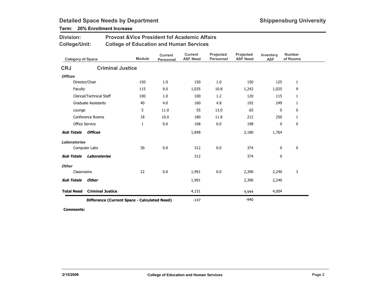### Term: 20% Enrollment Increase

| <b>Division:</b>          |                            | <b>Provost &amp; Vice President fof Academic Affairs</b> |                                    |                                   |                               |                              |                         |                           |
|---------------------------|----------------------------|----------------------------------------------------------|------------------------------------|-----------------------------------|-------------------------------|------------------------------|-------------------------|---------------------------|
| <b>College/Unit:</b>      |                            | <b>College of Education and Human Services</b>           |                                    |                                   |                               |                              |                         |                           |
| <b>Category of Space</b>  |                            | <b>Module</b>                                            | <b>Current</b><br><b>Personnel</b> | <b>Current</b><br><b>ASF Need</b> | Projected<br><b>Personnel</b> | Projected<br><b>ASF Need</b> | Inventory<br><b>ASF</b> | <b>Number</b><br>of Rooms |
| <b>CRJ</b>                |                            | <b>Criminal Justice</b>                                  |                                    |                                   |                               |                              |                         |                           |
| <b>Offices</b>            |                            |                                                          |                                    |                                   |                               |                              |                         |                           |
| Director/Chair            |                            | 150                                                      | 1.0                                | 150                               | 1.0                           | 150                          | 125                     | $\mathbf{1}$              |
| Faculty                   |                            | 115                                                      | 9.0                                | 1,035                             | 10.8                          | 1,242                        | 1,025                   | 9                         |
|                           | Clerical/Technical Staff   | 100                                                      | 1.0                                | 100                               | 1.2                           | 120                          | 115                     | $\mathbf{1}$              |
|                           | <b>Graduate Assistants</b> | 40                                                       | 4.0                                | 160                               | 4.8                           | 192                          | 249                     | 1                         |
| Lounge                    |                            | 5                                                        | 11.0                               | 55                                | 13.0                          | 65                           | 0                       | 0                         |
|                           | Conference Rooms           | 18                                                       | 10.0                               | 180                               | 11.8                          | 212                          | 250                     | 1                         |
| Office Service            |                            | $\mathbf{1}$                                             | 0.0                                | 168                               | 0.0                           | 198                          | 0                       | 0                         |
| <b>Sub Totals Offices</b> |                            |                                                          |                                    | 1,848                             |                               | 2,180                        | 1,764                   |                           |
| <b>Laboratories</b>       |                            |                                                          |                                    |                                   |                               |                              |                         |                           |
| Computer Labs             |                            | 30                                                       | 0.0                                | 312                               | 0.0                           | 374                          | 0                       | $\mathbf 0$               |
| <b>Sub Totals</b>         | Laboratories               |                                                          |                                    | 312                               |                               | 374                          | 0                       |                           |
| <b>Other</b>              |                            |                                                          |                                    |                                   |                               |                              |                         |                           |
| Classrooms                |                            | 22                                                       | 0.0                                | 1,991                             | 0.0                           | 2,390                        | 2,240                   | 3                         |
| <b>Sub Totals</b>         | <b>Other</b>               |                                                          |                                    | 1,991                             |                               | 2,390                        | 2,240                   |                           |
| <b>Total Need</b>         | <b>Criminal Justice</b>    |                                                          |                                    | 4,151                             |                               | 4,944                        | 4,004                   |                           |
|                           |                            | Difference (Current Space - Calculated Need)             |                                    | $-147$                            |                               | $-940$                       |                         |                           |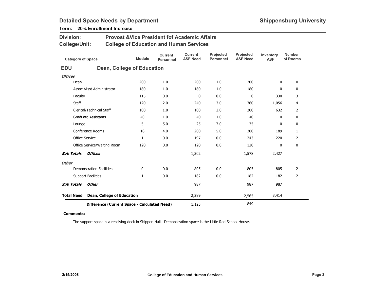| Division:<br><b>College/Unit:</b> |                                 | <b>Provost &amp; Vice President fof Academic Affairs</b><br><b>College of Education and Human Services</b> |                                    |                                   |                               |                              |                         |                           |
|-----------------------------------|---------------------------------|------------------------------------------------------------------------------------------------------------|------------------------------------|-----------------------------------|-------------------------------|------------------------------|-------------------------|---------------------------|
| <b>Category of Space</b>          |                                 | <b>Module</b>                                                                                              | <b>Current</b><br><b>Personnel</b> | <b>Current</b><br><b>ASF Need</b> | Projected<br><b>Personnel</b> | Projected<br><b>ASF Need</b> | Inventory<br><b>ASF</b> | <b>Number</b><br>of Rooms |
| <b>EDU</b>                        |                                 | Dean, College of Education                                                                                 |                                    |                                   |                               |                              |                         |                           |
| <b>Offices</b>                    |                                 |                                                                                                            |                                    |                                   |                               |                              |                         |                           |
| Dean                              |                                 | 200                                                                                                        | 1.0                                | 200                               | 1.0                           | 200                          | 0                       | 0                         |
|                                   | Assoc./Asst Administrator       | 180                                                                                                        | 1.0                                | 180                               | 1.0                           | 180                          | 0                       | 0                         |
| Faculty                           |                                 | 115                                                                                                        | 0.0                                | 0                                 | 0.0                           | $\mathbf 0$                  | 330                     | 3                         |
| Staff                             |                                 | 120                                                                                                        | 2.0                                | 240                               | 3.0                           | 360                          | 1,056                   | 4                         |
|                                   | Clerical/Technical Staff        | 100                                                                                                        | 1.0                                | 100                               | 2.0                           | 200                          | 632                     | $\overline{2}$            |
|                                   | <b>Graduate Assistants</b>      | 40                                                                                                         | 1.0                                | 40                                | 1.0                           | 40                           | 0                       | 0                         |
| Lounge                            |                                 | 5                                                                                                          | 5.0                                | 25                                | 7.0                           | 35                           | 0                       | 0                         |
|                                   | Conference Rooms                | 18                                                                                                         | 4.0                                | 200                               | 5.0                           | 200                          | 189                     | $\mathbf{1}$              |
|                                   | <b>Office Service</b>           | $\mathbf{1}$                                                                                               | 0.0                                | 197                               | 0.0                           | 243                          | 220                     | $\overline{2}$            |
|                                   | Office Service/Waiting Room     | 120                                                                                                        | 0.0                                | 120                               | 0.0                           | 120                          | 0                       | 0                         |
| <b>Sub Totals</b>                 | <b>Offices</b>                  |                                                                                                            |                                    | 1,302                             |                               | 1,578                        | 2,427                   |                           |
| <b>Other</b>                      |                                 |                                                                                                            |                                    |                                   |                               |                              |                         |                           |
|                                   | <b>Demonstration Facilities</b> | 0                                                                                                          | 0.0                                | 805                               | 0.0                           | 805                          | 805                     | 2                         |
|                                   | <b>Support Facilities</b>       | $\mathbf{1}$                                                                                               | 0.0                                | 182                               | 0.0                           | 182                          | 182                     | 2                         |
| <b>Sub Totals</b>                 | Other                           |                                                                                                            |                                    | 987                               |                               | 987                          | 987                     |                           |
| <b>Total Need</b>                 | Dean, College of Education      |                                                                                                            |                                    | 2,289                             |                               | 2,565                        | 3,414                   |                           |
|                                   |                                 | Difference (Current Space - Calculated Need)                                                               |                                    | 1,125                             |                               | 849                          |                         |                           |

### Term: 20% Enrollment Increase

#### Comments:

The support space is a receiving dock in Shippen Hall. Demonstration space is the Little Red School House.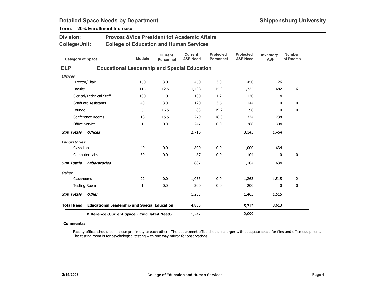| <b>Division:</b>         |                            | <b>Provost &amp; Vice President fof Academic Affairs</b> |                                    |                                   |                               |                              |                         |                           |  |  |  |  |
|--------------------------|----------------------------|----------------------------------------------------------|------------------------------------|-----------------------------------|-------------------------------|------------------------------|-------------------------|---------------------------|--|--|--|--|
| <b>College/Unit:</b>     |                            | <b>College of Education and Human Services</b>           |                                    |                                   |                               |                              |                         |                           |  |  |  |  |
| <b>Category of Space</b> |                            | <b>Module</b>                                            | <b>Current</b><br><b>Personnel</b> | <b>Current</b><br><b>ASF Need</b> | Projected<br><b>Personnel</b> | Projected<br><b>ASF Need</b> | Inventory<br><b>ASF</b> | <b>Number</b><br>of Rooms |  |  |  |  |
| <b>ELP</b>               |                            | <b>Educational Leadership and Special Education</b>      |                                    |                                   |                               |                              |                         |                           |  |  |  |  |
| <b>Offices</b>           |                            |                                                          |                                    |                                   |                               |                              |                         |                           |  |  |  |  |
|                          | Director/Chair             | 150                                                      | 3.0                                | 450                               | 3.0                           | 450                          | 126                     | $\mathbf{1}$              |  |  |  |  |
| Faculty                  |                            | 115                                                      | 12.5                               | 1,438                             | 15.0                          | 1,725                        | 682                     | 6                         |  |  |  |  |
|                          | Clerical/Technical Staff   | 100                                                      | 1.0                                | 100                               | 1.2                           | 120                          | 114                     | $\mathbf{1}$              |  |  |  |  |
|                          | <b>Graduate Assistants</b> | 40                                                       | 3.0                                | 120                               | 3.6                           | 144                          | 0                       | 0                         |  |  |  |  |
| Lounge                   |                            | 5                                                        | 16.5                               | 83                                | 19.2                          | 96                           | 0                       | 0                         |  |  |  |  |
|                          | Conference Rooms           | 18                                                       | 15.5                               | 279                               | 18.0                          | 324                          | 238                     | $\mathbf{1}$              |  |  |  |  |
|                          | <b>Office Service</b>      | $\mathbf{1}$                                             | 0.0                                | 247                               | 0.0                           | 286                          | 304                     | 1                         |  |  |  |  |
| <b>Sub Totals</b>        | Offices                    |                                                          |                                    | 2,716                             |                               | 3,145                        | 1,464                   |                           |  |  |  |  |
| <b>Laboratories</b>      |                            |                                                          |                                    |                                   |                               |                              |                         |                           |  |  |  |  |
| Class Lab                |                            | 40                                                       | 0.0                                | 800                               | 0.0                           | 1,000                        | 634                     | $\mathbf{1}$              |  |  |  |  |
|                          | Computer Labs              | 30                                                       | 0.0                                | 87                                | 0.0                           | 104                          | $\mathbf{0}$            | 0                         |  |  |  |  |
| <b>Sub Totals</b>        | Laboratories               |                                                          |                                    | 887                               |                               | 1,104                        | 634                     |                           |  |  |  |  |
| <b>Other</b>             |                            |                                                          |                                    |                                   |                               |                              |                         |                           |  |  |  |  |
| Classrooms               |                            | 22                                                       | 0.0                                | 1,053                             | 0.0                           | 1,263                        | 1,515                   | $\overline{2}$            |  |  |  |  |
|                          | <b>Testing Room</b>        | $\mathbf{1}$                                             | 0.0                                | 200                               | 0.0                           | 200                          | 0                       | 0                         |  |  |  |  |
| <b>Sub Totals</b>        | <b>Other</b>               |                                                          |                                    | 1,253                             |                               | 1,463                        | 1,515                   |                           |  |  |  |  |
| <b>Total Need</b>        |                            | <b>Educational Leadership and Special Education</b>      |                                    | 4,855                             |                               | 5,712                        | 3,613                   |                           |  |  |  |  |
|                          |                            | Difference (Current Space - Calculated Need)             |                                    | $-1,242$                          |                               | $-2,099$                     |                         |                           |  |  |  |  |

### Term: 20% Enrollment Increase

#### Comments:

Faculty offices should be in close proximety to each other. The department office should be larger with adequate space for files and office equipment. The testing room is for psychological testing with one way mirror for observations.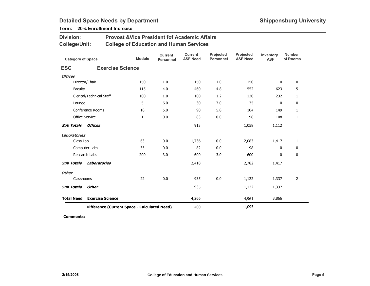### Term: 20% Enrollment Increase

Division:

| <b>College/Unit:</b>      |                                              | <b>College of Education and Human Services</b> |                             |                                   |                               |                              |                         |                           |
|---------------------------|----------------------------------------------|------------------------------------------------|-----------------------------|-----------------------------------|-------------------------------|------------------------------|-------------------------|---------------------------|
| <b>Category of Space</b>  |                                              | <b>Module</b>                                  | <b>Current</b><br>Personnel | <b>Current</b><br><b>ASF Need</b> | Projected<br><b>Personnel</b> | Projected<br><b>ASF Need</b> | Inventory<br><b>ASF</b> | <b>Number</b><br>of Rooms |
| <b>ESC</b>                | <b>Exercise Science</b>                      |                                                |                             |                                   |                               |                              |                         |                           |
| <b>Offices</b>            |                                              |                                                |                             |                                   |                               |                              |                         |                           |
|                           | Director/Chair                               | 150                                            | 1.0                         | 150                               | 1.0                           | 150                          | 0                       | 0                         |
| Faculty                   |                                              | 115                                            | 4.0                         | 460                               | 4.8                           | 552                          | 623                     | 5                         |
|                           | Clerical/Technical Staff                     | 100                                            | 1.0                         | 100                               | 1.2                           | 120                          | 232                     | $\mathbf{1}$              |
| Lounge                    |                                              | 5                                              | 6.0                         | 30                                | 7.0                           | 35                           | 0                       | 0                         |
|                           | Conference Rooms                             | 18                                             | 5.0                         | 90                                | 5.8                           | 104                          | 149                     | $\mathbf{1}$              |
| Office Service            |                                              | $\mathbf{1}$                                   | 0.0                         | 83                                | 0.0                           | 96                           | 108                     | $\mathbf{1}$              |
| <b>Sub Totals Offices</b> |                                              |                                                |                             | 913                               |                               | 1,058                        | 1,112                   |                           |
| <b>Laboratories</b>       |                                              |                                                |                             |                                   |                               |                              |                         |                           |
| Class Lab                 |                                              | 63                                             | 0.0                         | 1,736                             | 0.0                           | 2,083                        | 1,417                   | $\mathbf{1}$              |
|                           | Computer Labs                                | 35                                             | 0.0                         | 82                                | 0.0                           | 98                           | 0                       | 0                         |
|                           | Research Labs                                | 200                                            | 3.0                         | 600                               | 3.0                           | 600                          | 0                       | 0                         |
| <b>Sub Totals</b>         | Laboratories                                 |                                                |                             | 2,418                             |                               | 2,782                        | 1,417                   |                           |
| <b>Other</b>              |                                              |                                                |                             |                                   |                               |                              |                         |                           |
| Classrooms                |                                              | 22                                             | 0.0                         | 935                               | 0.0                           | 1,122                        | 1,337                   | $\overline{2}$            |
| <b>Sub Totals</b>         | <b>Other</b>                                 |                                                |                             | 935                               |                               | 1,122                        | 1,337                   |                           |
| <b>Total Need</b>         | <b>Exercise Science</b>                      |                                                |                             | 4,266                             |                               | 4,961                        | 3,866                   |                           |
|                           | Difference (Current Space - Calculated Need) |                                                |                             | $-400$                            |                               | $-1,095$                     |                         |                           |

Provost &Vice President fof Academic Affairs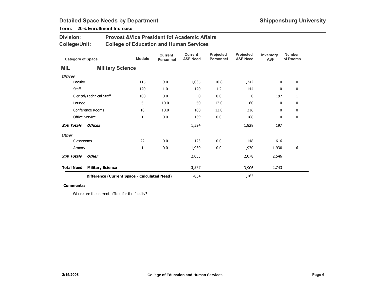### Term: 20% Enrollment Increase

Division:

|                   | <b>College/Unit:</b>     |                                              | <b>College of Education and Human Services</b> |                             |                                   |                               |                              |                         |                           |  |
|-------------------|--------------------------|----------------------------------------------|------------------------------------------------|-----------------------------|-----------------------------------|-------------------------------|------------------------------|-------------------------|---------------------------|--|
|                   | <b>Category of Space</b> |                                              | <b>Module</b>                                  | <b>Current</b><br>Personnel | <b>Current</b><br><b>ASF Need</b> | Projected<br><b>Personnel</b> | Projected<br><b>ASF Need</b> | Inventory<br><b>ASF</b> | <b>Number</b><br>of Rooms |  |
| <b>MIL</b>        |                          | <b>Military Science</b>                      |                                                |                             |                                   |                               |                              |                         |                           |  |
| <b>Offices</b>    |                          |                                              |                                                |                             |                                   |                               |                              |                         |                           |  |
|                   | Faculty                  |                                              | 115                                            | 9.0                         | 1,035                             | 10.8                          | 1,242                        | 0                       | 0                         |  |
|                   | <b>Staff</b>             |                                              | 120                                            | 1.0                         | 120                               | 1.2                           | 144                          | 0                       | 0                         |  |
|                   |                          | Clerical/Technical Staff                     | 100                                            | 0.0                         | 0                                 | 0.0                           | $\mathbf 0$                  | 197                     | 1                         |  |
|                   | Lounge                   |                                              | 5                                              | 10.0                        | 50                                | 12.0                          | 60                           | 0                       | 0                         |  |
|                   | Conference Rooms         |                                              | 18                                             | 10.0                        | 180                               | 12.0                          | 216                          | 0                       | 0                         |  |
|                   | Office Service           |                                              | $\mathbf{1}$                                   | 0.0                         | 139                               | 0.0                           | 166                          | 0                       | 0                         |  |
| <b>Sub Totals</b> |                          | <b>Offices</b>                               |                                                |                             | 1,524                             |                               | 1,828                        | 197                     |                           |  |
| <b>Other</b>      |                          |                                              |                                                |                             |                                   |                               |                              |                         |                           |  |
|                   | Classrooms               |                                              | 22                                             | 0.0                         | 123                               | 0.0                           | 148                          | 616                     | 1                         |  |
|                   | Armory                   |                                              | 1                                              | 0.0                         | 1,930                             | 0.0                           | 1,930                        | 1,930                   | 6                         |  |
| <b>Sub Totals</b> |                          | <b>Other</b>                                 |                                                |                             | 2,053                             |                               | 2,078                        | 2,546                   |                           |  |
| <b>Total Need</b> |                          | <b>Military Science</b>                      |                                                |                             | 3,577                             |                               | 3,906                        | 2,743                   |                           |  |
|                   |                          | Difference (Current Space - Calculated Need) |                                                |                             | $-834$                            |                               | $-1,163$                     |                         |                           |  |

Provost &Vice President fof Academic Affairs

#### Comments:

Where are the current offices for the faculty?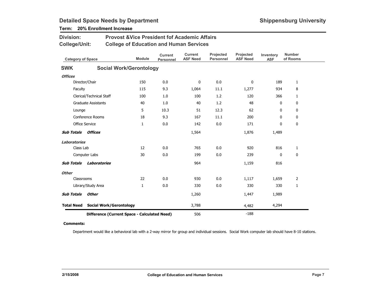| <b>Division:</b>         |                            | <b>Provost &amp;Vice President fof Academic Affairs</b> |               |                                    |                                   |                               |                              |                         |                           |  |  |
|--------------------------|----------------------------|---------------------------------------------------------|---------------|------------------------------------|-----------------------------------|-------------------------------|------------------------------|-------------------------|---------------------------|--|--|
| College/Unit:            |                            | <b>College of Education and Human Services</b>          |               |                                    |                                   |                               |                              |                         |                           |  |  |
| <b>Category of Space</b> |                            |                                                         | <b>Module</b> | <b>Current</b><br><b>Personnel</b> | <b>Current</b><br><b>ASF Need</b> | Projected<br><b>Personnel</b> | Projected<br><b>ASF Need</b> | Inventory<br><b>ASF</b> | <b>Number</b><br>of Rooms |  |  |
| <b>SWK</b>               |                            | <b>Social Work/Gerontology</b>                          |               |                                    |                                   |                               |                              |                         |                           |  |  |
| <b>Offices</b>           |                            |                                                         |               |                                    |                                   |                               |                              |                         |                           |  |  |
|                          | Director/Chair             |                                                         | 150           | 0.0                                | $\mathbf{0}$                      | 0.0                           | $\mathbf{0}$                 | 189                     | 1                         |  |  |
| Faculty                  |                            |                                                         | 115           | 9.3                                | 1,064                             | 11.1                          | 1,277                        | 934                     | 8                         |  |  |
|                          | Clerical/Technical Staff   |                                                         | 100           | 1.0                                | 100                               | 1.2                           | 120                          | 366                     | 1                         |  |  |
|                          | <b>Graduate Assistants</b> |                                                         | 40            | 1.0                                | 40                                | 1.2                           | 48                           | 0                       | $\mathbf 0$               |  |  |
| Lounge                   |                            |                                                         | 5             | 10.3                               | 51                                | 12.3                          | 62                           | 0                       | 0                         |  |  |
|                          | Conference Rooms           |                                                         | 18            | 9.3                                | 167                               | 11.1                          | 200                          | $\mathbf{0}$            | 0                         |  |  |
|                          | <b>Office Service</b>      |                                                         | $\mathbf{1}$  | 0.0                                | 142                               | 0.0                           | 171                          | 0                       | $\mathbf 0$               |  |  |
| <b>Sub Totals</b>        | <b>Offices</b>             |                                                         |               |                                    | 1,564                             |                               | 1,876                        | 1,489                   |                           |  |  |
| Laboratories             |                            |                                                         |               |                                    |                                   |                               |                              |                         |                           |  |  |
| Class Lab                |                            |                                                         | 12            | 0.0                                | 765                               | 0.0                           | 920                          | 816                     | 1                         |  |  |
|                          | Computer Labs              |                                                         | 30            | 0.0                                | 199                               | 0.0                           | 239                          | $\mathbf{0}$            | 0                         |  |  |
| <b>Sub Totals</b>        | Laboratories               |                                                         |               |                                    | 964                               |                               | 1,159                        | 816                     |                           |  |  |
| <b>Other</b>             |                            |                                                         |               |                                    |                                   |                               |                              |                         |                           |  |  |
| Classrooms               |                            |                                                         | 22            | 0.0                                | 930                               | 0.0                           | 1,117                        | 1,659                   | $\overline{2}$            |  |  |
|                          | Library/Study Area         |                                                         | $\mathbf{1}$  | 0.0                                | 330                               | 0.0                           | 330                          | 330                     | 1                         |  |  |
| <b>Sub Totals</b>        | <b>Other</b>               |                                                         |               |                                    | 1,260                             |                               | 1,447                        | 1,989                   |                           |  |  |
| <b>Total Need</b>        |                            | <b>Social Work/Gerontology</b>                          |               |                                    | 3,788                             |                               | 4,482                        | 4,294                   |                           |  |  |
|                          |                            | Difference (Current Space - Calculated Need)            |               |                                    | 506                               |                               | $-188$                       |                         |                           |  |  |

### Term: 20% Enrollment Increase

#### Comments:

Department would like a behavioral lab with a 2-way mirror for group and individual sessions. Social Work computer lab should have 8-10 stations.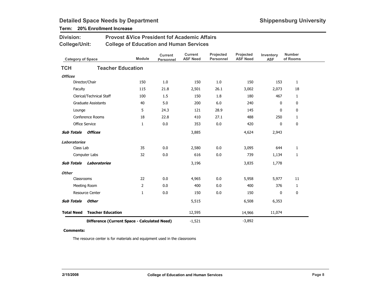### Term: 20% Enrollment Increase

Division:

| <b>College/Unit:</b>     |                                              |               | <b>College of Education and Human Services</b> |                                   |                               |                              |                         |                           |
|--------------------------|----------------------------------------------|---------------|------------------------------------------------|-----------------------------------|-------------------------------|------------------------------|-------------------------|---------------------------|
| <b>Category of Space</b> |                                              | <b>Module</b> | <b>Current</b><br><b>Personnel</b>             | <b>Current</b><br><b>ASF Need</b> | Projected<br><b>Personnel</b> | Projected<br><b>ASF Need</b> | Inventory<br><b>ASF</b> | <b>Number</b><br>of Rooms |
| <b>TCH</b>               | <b>Teacher Education</b>                     |               |                                                |                                   |                               |                              |                         |                           |
| <b>Offices</b>           |                                              |               |                                                |                                   |                               |                              |                         |                           |
|                          | Director/Chair                               | 150           | 1.0                                            | 150                               | 1.0                           | 150                          | 153                     | $\mathbf{1}$              |
| Faculty                  |                                              | 115           | 21.8                                           | 2,501                             | 26.1                          | 3,002                        | 2,073                   | 18                        |
|                          | Clerical/Technical Staff                     | 100           | 1.5                                            | 150                               | 1.8                           | 180                          | 467                     | $\mathbf{1}$              |
|                          | <b>Graduate Assistants</b>                   | 40            | 5.0                                            | 200                               | 6.0                           | 240                          | 0                       | 0                         |
| Lounge                   |                                              | 5             | 24.3                                           | 121                               | 28.9                          | 145                          | 0                       | 0                         |
|                          | <b>Conference Rooms</b>                      | 18            | 22.8                                           | 410                               | 27.1                          | 488                          | 250                     | $\mathbf{1}$              |
|                          | <b>Office Service</b>                        | 1             | 0.0                                            | 353                               | 0.0                           | 420                          | 0                       | $\mathbf 0$               |
| <b>Sub Totals</b>        | Offices                                      |               |                                                | 3,885                             |                               | 4,624                        | 2,943                   |                           |
| <b>Laboratories</b>      |                                              |               |                                                |                                   |                               |                              |                         |                           |
| Class Lab                |                                              | 35            | 0.0                                            | 2,580                             | 0.0                           | 3,095                        | 644                     | $\mathbf{1}$              |
|                          | Computer Labs                                | 32            | 0.0                                            | 616                               | 0.0                           | 739                          | 1,134                   | 1                         |
| <b>Sub Totals</b>        | Laboratories                                 |               |                                                | 3,196                             |                               | 3,835                        | 1,778                   |                           |
| <b>Other</b>             |                                              |               |                                                |                                   |                               |                              |                         |                           |
| Classrooms               |                                              | 22            | 0.0                                            | 4,965                             | 0.0                           | 5,958                        | 5,977                   | 11                        |
|                          | Meeting Room                                 | 2             | 0.0                                            | 400                               | 0.0                           | 400                          | 376                     | $\mathbf{1}$              |
|                          | <b>Resource Center</b>                       | $\mathbf{1}$  | 0.0                                            | 150                               | 0.0                           | 150                          | 0                       | 0                         |
| <b>Sub Totals</b>        | <b>Other</b>                                 |               |                                                | 5,515                             |                               | 6,508                        | 6,353                   |                           |
| <b>Total Need</b>        | <b>Teacher Education</b>                     |               |                                                | 12,595                            |                               | 14,966                       | 11,074                  |                           |
|                          | Difference (Current Space - Calculated Need) |               |                                                | $-1,521$                          |                               | $-3,892$                     |                         |                           |

Provost &Vice President fof Academic Affairs

#### Comments:

The resource center is for materials and equipment used in the classrooms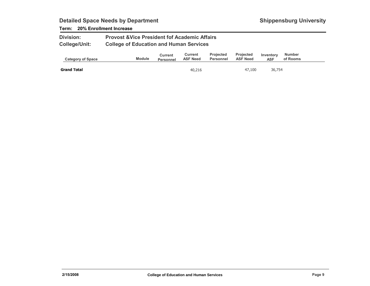### Term: 20% Enrollment Increase

| <b>Division:</b>     | <b>Provost &amp; Vice President fof Academic Affairs</b> |
|----------------------|----------------------------------------------------------|
| <b>College/Unit:</b> | <b>College of Education and Human Services</b>           |

| <b>Category of Space</b> | <b>Module</b> | Current<br>Personnel | Current<br><b>ASF Need</b> | <b>Projected</b><br>Personnel | <b>Projected</b><br><b>ASF Need</b> | Inventory<br>ASF | <b>Number</b><br>of Rooms |  |
|--------------------------|---------------|----------------------|----------------------------|-------------------------------|-------------------------------------|------------------|---------------------------|--|
| <b>Grand Total</b>       |               |                      | 40,216                     |                               | 47,100                              | 36,754           |                           |  |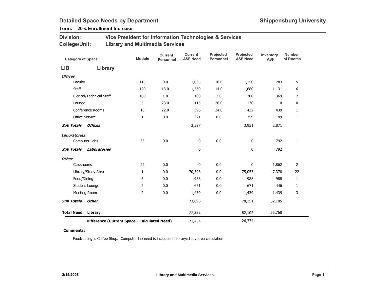### Term: 20% Enrollment Increase

| <b>Division:</b> | Vice President for Information Technologies & Services |
|------------------|--------------------------------------------------------|
| College/Unit:    | <b>Library and Multimedia Services</b>                 |

| <b>Category of Space</b>                     |                          | <b>Module</b>  | <b>Current</b><br>Personnel | <b>Current</b><br><b>ASF Need</b> | Projected<br><b>Personnel</b> | Projected<br><b>ASF Need</b> | Inventory<br><b>ASF</b> | <b>Number</b><br>of Rooms |
|----------------------------------------------|--------------------------|----------------|-----------------------------|-----------------------------------|-------------------------------|------------------------------|-------------------------|---------------------------|
| LIB                                          | Library                  |                |                             |                                   |                               |                              |                         |                           |
| <b>Offices</b>                               |                          |                |                             |                                   |                               |                              |                         |                           |
| Faculty                                      |                          | 115            | 9.0                         | 1,035                             | 10.0                          | 1,150                        | 783                     | 5                         |
| Staff                                        |                          | 120            | 13.0                        | 1,560                             | 14.0                          | 1,680                        | 1,131                   | 6                         |
|                                              | Clerical/Technical Staff | 100            | 1.0                         | 100                               | 2.0                           | 200                          | 369                     | $\overline{2}$            |
| Lounge                                       |                          | 5              | 23.0                        | 115                               | 26.0                          | 130                          | 0                       | $\mathbf 0$               |
|                                              | Conference Rooms         | 18             | 22.0                        | 396                               | 24.0                          | 432                          | 439                     | $\mathbf{1}$              |
|                                              | Office Service           | $\mathbf{1}$   | 0.0                         | 321                               | 0.0                           | 359                          | 149                     | $\mathbf{1}$              |
| <b>Sub Totals</b>                            | Offices                  |                |                             | 3,527                             |                               | 3,951                        | 2,871                   |                           |
| <b>Laboratories</b>                          |                          |                |                             |                                   |                               |                              |                         |                           |
|                                              | Computer Labs            | 35             | 0.0                         | 0                                 | $0.0\,$                       | 0                            | 792                     | $\mathbf{1}$              |
| <b>Sub Totals</b>                            | <b>Laboratories</b>      |                |                             | 0                                 |                               | 0                            | 792                     |                           |
| <b>Other</b>                                 |                          |                |                             |                                   |                               |                              |                         |                           |
| Classrooms                                   |                          | 22             | 0.0                         | 0                                 | 0.0                           | $\pmb{0}$                    | 1,862                   | $\overline{2}$            |
|                                              | Library/Study Area       | $\mathbf{1}$   | $0.0\,$                     | 70,598                            | $0.0\,$                       | 75,053                       | 47,370                  | 22                        |
|                                              | Food/Dining              | 6              | 0.0                         | 988                               | 0.0                           | 988                          | 988                     | $\mathbf{1}$              |
|                                              | Student Lounge           | $\overline{2}$ | 0.0                         | 671                               | 0.0                           | 671                          | 446                     | $\mathbf{1}$              |
|                                              | Meeting Room             | 2              | 0.0                         | 1,439                             | 0.0                           | 1,439                        | 1,439                   | 3                         |
| <b>Sub Totals</b>                            | Other                    |                |                             | 73,696                            |                               | 78,151                       | 52,105                  |                           |
| <b>Total Need</b>                            | Library                  |                |                             | 77,222                            |                               | 82,102                       | 55,768                  |                           |
| Difference (Current Space - Calculated Need) |                          |                | $-21,454$                   |                                   | $-26,334$                     |                              |                         |                           |

#### Comments:

Food/dining is Coffee Shop. Computer lab need is included in library/study area calculation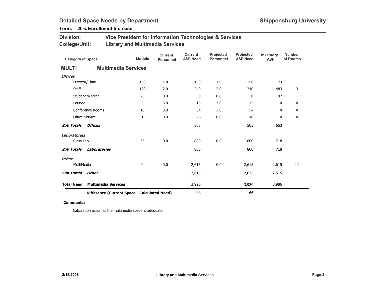### Term: 20% Enrollment Increase

| <b>Division:</b> | Vice President for Information Technologies & Services |
|------------------|--------------------------------------------------------|
| College/Unit:    | <b>Library and Multimedia Services</b>                 |

| <b>Category of Space</b>                     |                            | <b>Module</b> | <b>Current</b><br>Personnel | <b>Current</b><br><b>ASF Need</b> | Projected<br><b>Personnel</b> | Projected<br><b>ASF Need</b> | Inventory<br><b>ASF</b> | <b>Number</b><br>of Rooms |
|----------------------------------------------|----------------------------|---------------|-----------------------------|-----------------------------------|-------------------------------|------------------------------|-------------------------|---------------------------|
| <b>MULTI</b>                                 | <b>Multimedia Services</b> |               |                             |                                   |                               |                              |                         |                           |
| <b>Offices</b>                               |                            |               |                             |                                   |                               |                              |                         |                           |
|                                              | Director/Chair             | 150           | 1.0                         | 150                               | 1.0                           | 150                          | 73                      | $\mathbf{1}$              |
| Staff                                        |                            | 120           | 2.0                         | 240                               | 2.0                           | 240                          | 483                     | 3                         |
|                                              | Student Worker             | 25            | 0.0                         | 0                                 | 0.0                           | $\mathbf 0$                  | 97                      | $\mathbf{1}$              |
| Lounge                                       |                            | 5             | 3.0                         | 15                                | 3.0                           | 15                           | 0                       | 0                         |
|                                              | Conference Rooms           | 18            | 3.0                         | 54                                | 3.0                           | 54                           | 0                       | 0                         |
|                                              | Office Service             | 1             | 0.0                         | 46                                | $0.0\,$                       | 46                           | 0                       | 0                         |
| <b>Sub Totals</b>                            | <b>Offices</b>             |               |                             | 505                               |                               | 505                          | 653                     |                           |
| <b>Laboratories</b>                          |                            |               |                             |                                   |                               |                              |                         |                           |
| Class Lab                                    |                            | 35            | 0.0                         | 800                               | $0.0\,$                       | 800                          | 718                     | $\mathbf{1}$              |
| <b>Sub Totals</b>                            | <b>Laboratories</b>        |               |                             | 800                               |                               | 800                          | 718                     |                           |
| <b>Other</b>                                 |                            |               |                             |                                   |                               |                              |                         |                           |
| MultiMedia                                   |                            | 0             | 0.0                         | 2,615                             | 0.0                           | 2,615                        | 2,615                   | 11                        |
| <b>Sub Totals</b>                            | <b>Other</b>               |               |                             | 2,615                             |                               | 2,615                        | 2,615                   |                           |
| <b>Total Need</b>                            | <b>Multimedia Services</b> |               |                             | 3,920                             |                               | 3,920                        | 3,986                   |                           |
| Difference (Current Space - Calculated Need) |                            |               | 66                          |                                   | 66                            |                              |                         |                           |

#### Comments:

Calculation assumes the multimedia space is adequate.